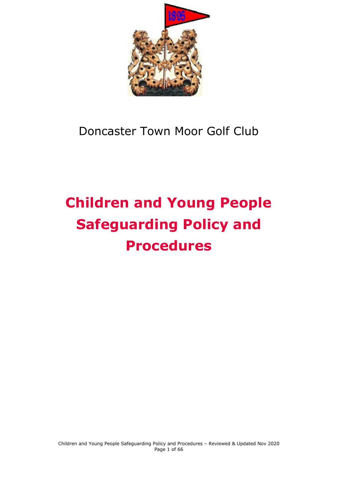

# Doncaster Town Moor Golf Club

# **Children and Young People Safeguarding Policy and Procedures**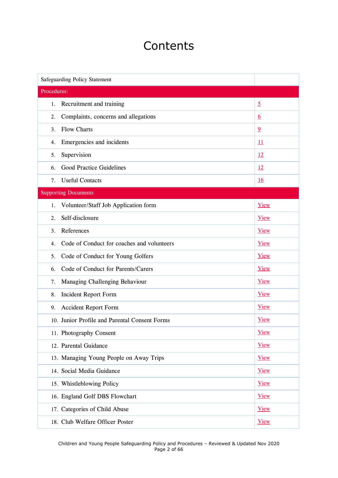## **Contents**

| Safeguarding Policy Statement                    |                 |
|--------------------------------------------------|-----------------|
| Procedures:                                      |                 |
| Recruitment and training<br>1.                   | $\overline{2}$  |
| Complaints, concerns and allegations<br>2.       | $\underline{6}$ |
| <b>Flow Charts</b><br>3.                         | $\overline{9}$  |
| Emergencies and incidents<br>4.                  | $\overline{11}$ |
| Supervision<br>5.                                | 12              |
| Good Practice Guidelines<br>6.                   | 12              |
| <b>Useful Contacts</b><br>7.                     | <u>16</u>       |
| <b>Supporting Documents</b>                      |                 |
| Volunteer/Staff Job Application form<br>1.       | <b>View</b>     |
| Self-disclosure<br>$\overline{2}$ .              | <b>View</b>     |
| References<br>3.                                 | <b>View</b>     |
| Code of Conduct for coaches and volunteers<br>4. | <b>View</b>     |
| Code of Conduct for Young Golfers<br>5.          | <b>View</b>     |
| Code of Conduct for Parents/Carers<br>6.         | <b>View</b>     |
| Managing Challenging Behaviour<br>7.             | <b>View</b>     |
| <b>Incident Report Form</b><br>8.                | View            |
| <b>Accident Report Form</b><br>9.                | <b>View</b>     |
| 10. Junior Profile and Parental Consent Forms    | <b>View</b>     |
| 11. Photography Consent                          | <b>View</b>     |
| 12. Parental Guidance                            | <b>View</b>     |
| 13. Managing Young People on Away Trips          | <b>View</b>     |
| 14. Social Media Guidance                        | <b>View</b>     |
| 15. Whistleblowing Policy                        | <b>View</b>     |
| 16. England Golf DBS Flowchart                   | <b>View</b>     |
| 17. Categories of Child Abuse                    | <b>View</b>     |
| 18. Club Welfare Officer Poster                  | <b>View</b>     |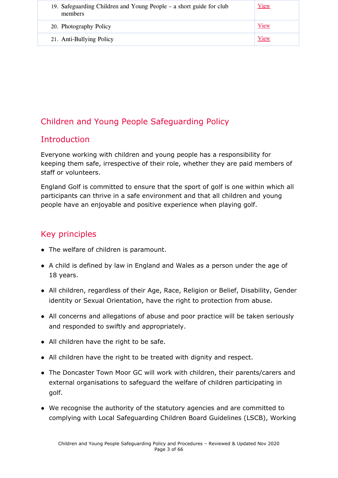| 19. Safeguarding Children and Young People – a short guide for club<br>members | View |
|--------------------------------------------------------------------------------|------|
| 20. Photography Policy                                                         | View |
| 21. Anti-Bullying Policy                                                       | View |

## Children and Young People Safeguarding Policy

## **Introduction**

Everyone working with children and young people has a responsibility for keeping them safe, irrespective of their role, whether they are paid members of staff or volunteers.

England Golf is committed to ensure that the sport of golf is one within which all participants can thrive in a safe environment and that all children and young people have an enjoyable and positive experience when playing golf.

## Key principles

- The welfare of children is paramount.
- A child is defined by law in England and Wales as a person under the age of 18 years.
- All children, regardless of their Age, Race, Religion or Belief, Disability, Gender identity or Sexual Orientation, have the right to protection from abuse.
- All concerns and allegations of abuse and poor practice will be taken seriously and responded to swiftly and appropriately.
- All children have the right to be safe.
- All children have the right to be treated with dignity and respect.
- The Doncaster Town Moor GC will work with children, their parents/carers and external organisations to safeguard the welfare of children participating in golf.
- We recognise the authority of the statutory agencies and are committed to complying with Local Safeguarding Children Board Guidelines (LSCB), Working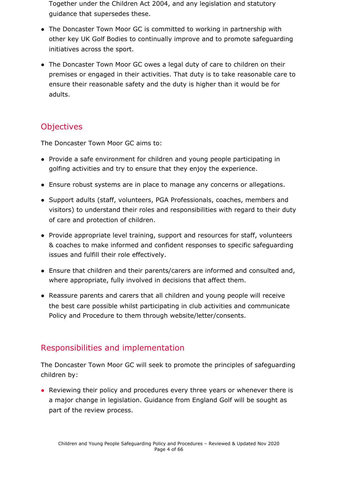Together under the Children Act 2004, and any legislation and statutory guidance that supersedes these.

- The Doncaster Town Moor GC is committed to working in partnership with other key UK Golf Bodies to continually improve and to promote safeguarding initiatives across the sport.
- The Doncaster Town Moor GC owes a legal duty of care to children on their premises or engaged in their activities. That duty is to take reasonable care to ensure their reasonable safety and the duty is higher than it would be for adults.

## **Objectives**

The Doncaster Town Moor GC aims to:

- Provide a safe environment for children and young people participating in golfing activities and try to ensure that they enjoy the experience.
- Ensure robust systems are in place to manage any concerns or allegations.
- Support adults (staff, volunteers, PGA Professionals, coaches, members and visitors) to understand their roles and responsibilities with regard to their duty of care and protection of children.
- Provide appropriate level training, support and resources for staff, volunteers & coaches to make informed and confident responses to specific safeguarding issues and fulfill their role effectively.
- Ensure that children and their parents/carers are informed and consulted and, where appropriate, fully involved in decisions that affect them.
- Reassure parents and carers that all children and young people will receive the best care possible whilst participating in club activities and communicate Policy and Procedure to them through website/letter/consents.

## Responsibilities and implementation

The Doncaster Town Moor GC will seek to promote the principles of safeguarding children by:

• Reviewing their policy and procedures every three years or whenever there is a major change in legislation. Guidance from England Golf will be sought as part of the review process.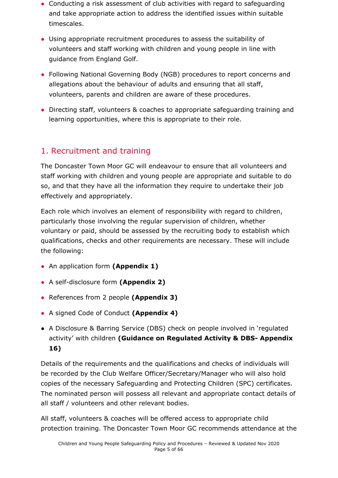- Conducting a risk assessment of club activities with regard to safeguarding and take appropriate action to address the identified issues within suitable timescales.
- Using appropriate recruitment procedures to assess the suitability of volunteers and staff working with children and young people in line with guidance from England Golf.
- Following National Governing Body (NGB) procedures to report concerns and allegations about the behaviour of adults and ensuring that all staff, volunteers, parents and children are aware of these procedures.
- Directing staff, volunteers & coaches to appropriate safeguarding training and learning opportunities, where this is appropriate to their role.

## <span id="page-4-0"></span>1. Recruitment and training

The Doncaster Town Moor GC will endeavour to ensure that all volunteers and staff working with children and young people are appropriate and suitable to do so, and that they have all the information they require to undertake their job effectively and appropriately.

Each role which involves an element of responsibility with regard to children, particularly those involving the regular supervision of children, whether voluntary or paid, should be assessed by the recruiting body to establish which qualifications, checks and other requirements are necessary. These will include the following:

- An application form **(Appendix 1)**
- A self-disclosure form **(Appendix 2)**
- References from 2 people **(Appendix 3)**
- A signed Code of Conduct **(Appendix 4)**
- **●** A Disclosure & Barring Service (DBS) check on people involved in 'regulated activity' with children **(Guidance on Regulated Activity & DBS- Appendix 16)**

Details of the requirements and the qualifications and checks of individuals will be recorded by the Club Welfare Officer/Secretary/Manager who will also hold copies of the necessary Safeguarding and Protecting Children (SPC) certificates. The nominated person will possess all relevant and appropriate contact details of all staff / volunteers and other relevant bodies.

All staff, volunteers & coaches will be offered access to appropriate child protection training. The Doncaster Town Moor GC recommends attendance at the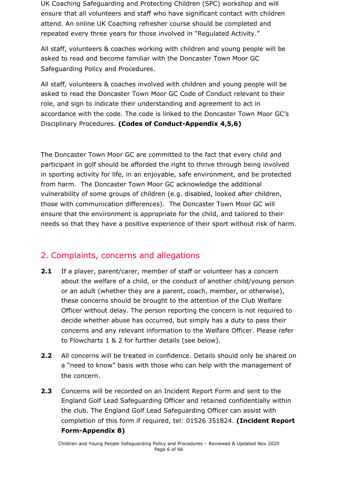UK Coaching Safeguarding and Protecting Children (SPC) workshop and will ensure that all volunteers and staff who have significant contact with children attend. An online UK Coaching refresher course should be completed and repeated every three years for those involved in "Regulated Activity."

All staff, volunteers & coaches working with children and young people will be asked to read and become familiar with the Doncaster Town Moor GC Safeguarding Policy and Procedures.

All staff, volunteers & coaches involved with children and young people will be asked to read the Doncaster Town Moor GC Code of Conduct relevant to their role, and sign to indicate their understanding and agreement to act in accordance with the code. The code is linked to the Doncaster Town Moor GC's Disciplinary Procedures. **(Codes of Conduct-Appendix 4,5,6)**

The Doncaster Town Moor GC are committed to the fact that every child and participant in golf should be afforded the right to thrive through being involved in sporting activity for life, in an enjoyable, safe environment, and be protected from harm. The Doncaster Town Moor GC acknowledge the additional vulnerability of some groups of children (e.g. disabled, looked after children, those with communication differences). The Doncaster Town Moor GC will ensure that the environment is appropriate for the child, and tailored to their needs so that they have a positive experience of their sport without risk of harm.

#### <span id="page-5-0"></span>2. Complaints, concerns and allegations

- **2.1** If a player, parent/carer, member of staff or volunteer has a concern about the welfare of a child, or the conduct of another child/young person or an adult (whether they are a parent, coach, member, or otherwise), these concerns should be brought to the attention of the Club Welfare Officer without delay. The person reporting the concern is not required to decide whether abuse has occurred, but simply has a duty to pass their concerns and any relevant information to the Welfare Officer. Please refer to Flowcharts 1 & 2 for further details (see below).
- **2.2** All concerns will be treated in confidence. Details should only be shared on a "need to know" basis with those who can help with the management of the concern.
- **2.3** Concerns will be recorded on an Incident Report Form and sent to the England Golf Lead Safeguarding Officer and retained confidentially within the club. The England Golf Lead Safeguarding Officer can assist with completion of this form if required, tel: 01526 351824. **(Incident Report Form-Appendix 8)**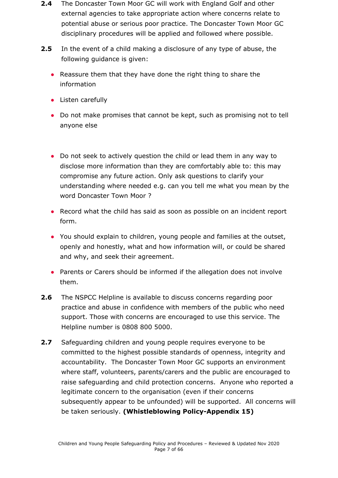- **2.4** The Doncaster Town Moor GC will work with England Golf and other external agencies to take appropriate action where concerns relate to potential abuse or serious poor practice. The Doncaster Town Moor GC disciplinary procedures will be applied and followed where possible.
- **2.5** In the event of a child making a disclosure of any type of abuse, the following guidance is given:
	- Reassure them that they have done the right thing to share the information
	- Listen carefully
	- Do not make promises that cannot be kept, such as promising not to tell anyone else
	- Do not seek to actively question the child or lead them in any way to disclose more information than they are comfortably able to: this may compromise any future action. Only ask questions to clarify your understanding where needed e.g. can you tell me what you mean by the word Doncaster Town Moor ?
	- Record what the child has said as soon as possible on an incident report form.
	- You should explain to children, young people and families at the outset, openly and honestly, what and how information will, or could be shared and why, and seek their agreement.
	- Parents or Carers should be informed if the allegation does not involve them.
- **2.6** The NSPCC Helpline is available to discuss concerns regarding poor practice and abuse in confidence with members of the public who need support. Those with concerns are encouraged to use this service. The Helpline number is 0808 800 5000.
- **2.7** Safeguarding children and young people requires everyone to be committed to the highest possible standards of openness, integrity and accountability. The Doncaster Town Moor GC supports an environment where staff, volunteers, parents/carers and the public are encouraged to raise safeguarding and child protection concerns. Anyone who reported a legitimate concern to the organisation (even if their concerns subsequently appear to be unfounded) will be supported. All concerns will be taken seriously. **(Whistleblowing Policy-Appendix 15)**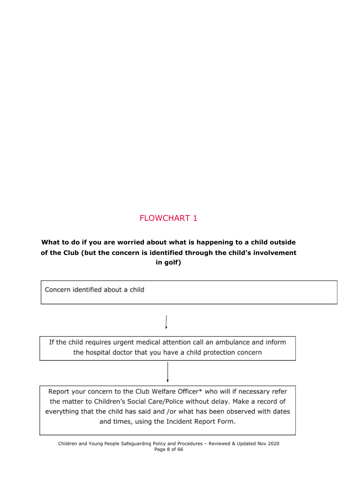## FLOWCHART 1

## **What to do if you are worried about what is happening to a child outside of the Club (but the concern is identified through the child's involvement in golf)**

| Concern identified about a child                                                                                                                                                                                                                                                          |  |
|-------------------------------------------------------------------------------------------------------------------------------------------------------------------------------------------------------------------------------------------------------------------------------------------|--|
|                                                                                                                                                                                                                                                                                           |  |
| If the child requires urgent medical attention call an ambulance and inform<br>the hospital doctor that you have a child protection concern                                                                                                                                               |  |
|                                                                                                                                                                                                                                                                                           |  |
| Report your concern to the Club Welfare Officer* who will if necessary refer<br>the matter to Children's Social Care/Police without delay. Make a record of<br>everything that the child has said and /or what has been observed with dates<br>and times, using the Incident Report Form. |  |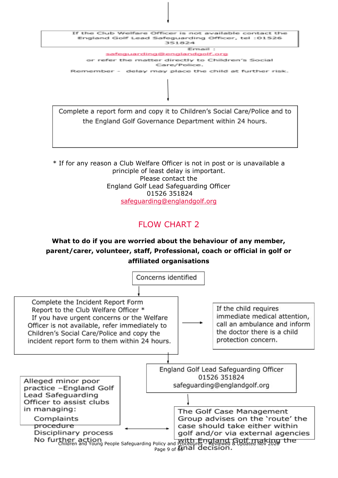

the England Golf Governance Department within 24 hours.

\* If for any reason a Club Welfare Officer is not in post or is unavailable a principle of least delay is important. Please contact the England Golf Lead Safeguarding Officer 01526 351824 [safeguarding@englandgolf.org](mailto:safeguarding@englandgolf.org)

## FLOW CHART 2

## **What to do if you are worried about the behaviour of any member, parent/carer, volunteer, staff, Professional, coach or official in golf or affiliated organisations**

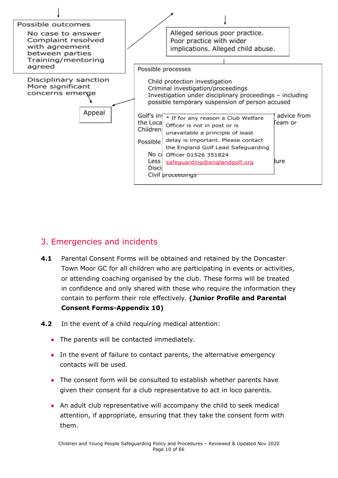

## <span id="page-9-0"></span>3. Emergencies and incidents

- **4.1** Parental Consent Forms will be obtained and retained by the Doncaster Town Moor GC for all children who are participating in events or activities, or attending coaching organised by the club. These forms will be treated in confidence and only shared with those who require the information they contain to perform their role effectively. **(Junior Profile and Parental Consent Forms-Appendix 10)**
- **4.2** In the event of a child requiring medical attention:
	- The parents will be contacted immediately.
	- In the event of failure to contact parents, the alternative emergency contacts will be used.
	- The consent form will be consulted to establish whether parents have given their consent for a club representative to act in loco parentis.
	- An adult club representative will accompany the child to seek medical attention, if appropriate, ensuring that they take the consent form with them.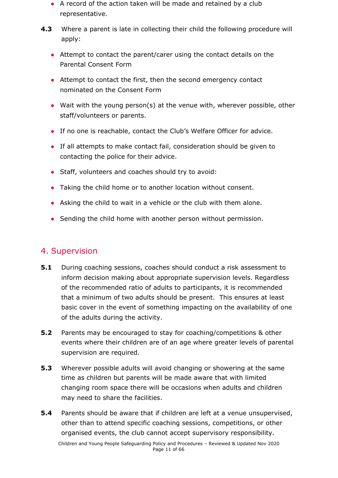- A record of the action taken will be made and retained by a club representative.
- **4.3** Where a parent is late in collecting their child the following procedure will apply:
	- Attempt to contact the parent/carer using the contact details on the Parental Consent Form
	- Attempt to contact the first, then the second emergency contact nominated on the Consent Form
	- Wait with the young person(s) at the venue with, wherever possible, other staff/volunteers or parents.
	- If no one is reachable, contact the Club's Welfare Officer for advice.
	- If all attempts to make contact fail, consideration should be given to contacting the police for their advice.
	- Staff, volunteers and coaches should try to avoid:
	- Taking the child home or to another location without consent.
	- Asking the child to wait in a vehicle or the club with them alone.
	- Sending the child home with another person without permission.

## <span id="page-10-0"></span>4. Supervision

- **5.1** During coaching sessions, coaches should conduct a risk assessment to inform decision making about appropriate supervision levels. Regardless of the recommended ratio of adults to participants, it is recommended that a minimum of two adults should be present. This ensures at least basic cover in the event of something impacting on the availability of one of the adults during the activity.
- **5.2** Parents may be encouraged to stay for coaching/competitions & other events where their children are of an age where greater levels of parental supervision are required.
- **5.3** Wherever possible adults will avoid changing or showering at the same time as children but parents will be made aware that with limited changing room space there will be occasions when adults and children may need to share the facilities.
- **5.4** Parents should be aware that if children are left at a venue unsupervised, other than to attend specific coaching sessions, competitions, or other organised events, the club cannot accept supervisory responsibility.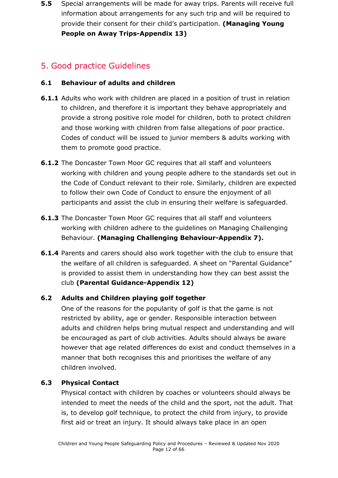**5.5** Special arrangements will be made for away trips. Parents will receive full information about arrangements for any such trip and will be required to provide their consent for their child's participation. **(Managing Young People on Away Trips-Appendix 13)**

## <span id="page-11-0"></span>5. Good practice Guidelines

#### **6.1 Behaviour of adults and children**

- **6.1.1** Adults who work with children are placed in a position of trust in relation to children, and therefore it is important they behave appropriately and provide a strong positive role model for children, both to protect children and those working with children from false allegations of poor practice. Codes of conduct will be issued to junior members & adults working with them to promote good practice.
- **6.1.2** The Doncaster Town Moor GC requires that all staff and volunteers working with children and young people adhere to the standards set out in the Code of Conduct relevant to their role. Similarly, children are expected to follow their own Code of Conduct to ensure the enjoyment of all participants and assist the club in ensuring their welfare is safeguarded.
- **6.1.3** The Doncaster Town Moor GC requires that all staff and volunteers working with children adhere to the guidelines on Managing Challenging Behaviour. **(Managing Challenging Behaviour-Appendix 7).**
- **6.1.4** Parents and carers should also work together with the club to ensure that the welfare of all children is safeguarded. A sheet on "Parental Guidance" is provided to assist them in understanding how they can best assist the club **(Parental Guidance-Appendix 12)**

#### **6.2 Adults and Children playing golf together**

One of the reasons for the popularity of golf is that the game is not restricted by ability, age or gender. Responsible interaction between adults and children helps bring mutual respect and understanding and will be encouraged as part of club activities. Adults should always be aware however that age related differences do exist and conduct themselves in a manner that both recognises this and prioritises the welfare of any children involved.

#### **6.3 Physical Contact**

Physical contact with children by coaches or volunteers should always be intended to meet the needs of the child and the sport, not the adult. That is, to develop golf technique, to protect the child from injury, to provide first aid or treat an injury. It should always take place in an open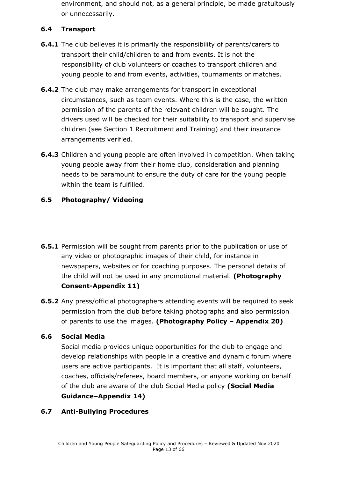environment, and should not, as a general principle, be made gratuitously or unnecessarily.

#### **6.4 Transport**

- **6.4.1** The club believes it is primarily the responsibility of parents/carers to transport their child/children to and from events. It is not the responsibility of club volunteers or coaches to transport children and young people to and from events, activities, tournaments or matches.
- **6.4.2** The club may make arrangements for transport in exceptional circumstances, such as team events. Where this is the case, the written permission of the parents of the relevant children will be sought. The drivers used will be checked for their suitability to transport and supervise children (see Section 1 Recruitment and Training) and their insurance arrangements verified.
- **6.4.3** Children and young people are often involved in competition. When taking young people away from their home club, consideration and planning needs to be paramount to ensure the duty of care for the young people within the team is fulfilled.

#### **6.5 Photography/ Videoing**

- **6.5.1** Permission will be sought from parents prior to the publication or use of any video or photographic images of their child, for instance in newspapers, websites or for coaching purposes. The personal details of the child will not be used in any promotional material. **(Photography Consent-Appendix 11)**
- **6.5.2** Any press/official photographers attending events will be required to seek permission from the club before taking photographs and also permission of parents to use the images. **(Photography Policy – Appendix 20)**

#### **6.6 Social Media**

Social media provides unique opportunities for the club to engage and develop relationships with people in a creative and dynamic forum where users are active participants. It is important that all staff, volunteers, coaches, officials/referees, board members, or anyone working on behalf of the club are aware of the club Social Media policy **(Social Media Guidance–Appendix 14)**

#### **6.7 Anti-Bullying Procedures**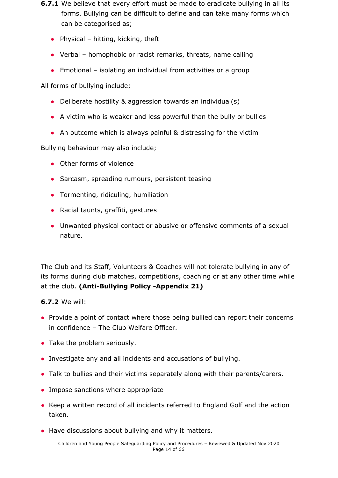- **6.7.1** We believe that every effort must be made to eradicate bullying in all its forms. Bullying can be difficult to define and can take many forms which can be categorised as;
	- Physical hitting, kicking, theft
	- Verbal homophobic or racist remarks, threats, name calling
	- $\bullet$  Emotional isolating an individual from activities or a group

All forms of bullying include;

- Deliberate hostility & aggression towards an individual(s)
- A victim who is weaker and less powerful than the bully or bullies
- An outcome which is always painful & distressing for the victim

Bullying behaviour may also include;

- Other forms of violence
- Sarcasm, spreading rumours, persistent teasing
- Tormenting, ridiculing, humiliation
- Racial taunts, graffiti, gestures
- Unwanted physical contact or abusive or offensive comments of a sexual nature.

The Club and its Staff, Volunteers & Coaches will not tolerate bullying in any of its forms during club matches, competitions, coaching or at any other time while at the club. **(Anti-Bullying Policy -Appendix 21)**

**6.7.2** We will:

- Provide a point of contact where those being bullied can report their concerns in confidence – The Club Welfare Officer.
- Take the problem seriously.
- Investigate any and all incidents and accusations of bullying.
- Talk to bullies and their victims separately along with their parents/carers.
- Impose sanctions where appropriate
- Keep a written record of all incidents referred to England Golf and the action taken.
- Have discussions about bullying and why it matters.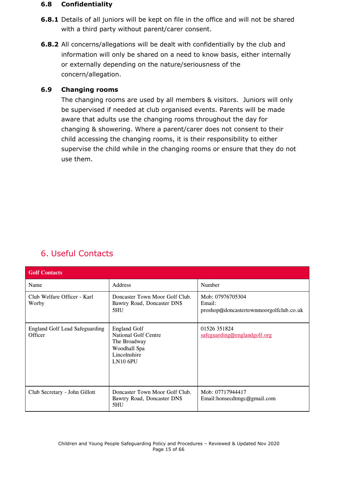#### **6.8 Confidentiality**

- **6.8.1** Details of all juniors will be kept on file in the office and will not be shared with a third party without parent/carer consent.
- **6.8.2** All concerns/allegations will be dealt with confidentially by the club and information will only be shared on a need to know basis, either internally or externally depending on the nature/seriousness of the concern/allegation.

#### **6.9 Changing rooms**

The changing rooms are used by all members & visitors. Juniors will only be supervised if needed at club organised events. Parents will be made aware that adults use the changing rooms throughout the day for changing & showering. Where a parent/carer does not consent to their child accessing the changing rooms, it is their responsibility to either supervise the child while in the changing rooms or ensure that they do not use them.

## <span id="page-14-0"></span>6. Useful Contacts

| <b>Golf Contacts</b>                             |                                                                                                                  |                                                                       |
|--------------------------------------------------|------------------------------------------------------------------------------------------------------------------|-----------------------------------------------------------------------|
| Name                                             | Address                                                                                                          | Number                                                                |
| Club Welfare Officer - Karl<br>Worby             | Doncaster Town Moor Golf Club.<br>Bawtry Road, Doncaster DN\$<br>5HU                                             | Mob: 07976705304<br>Email:<br>proshop@doncastertownmoorgolfclub.co.uk |
| <b>England Golf Lead Safeguarding</b><br>Officer | <b>England Golf</b><br><b>National Golf Centre</b><br>The Broadway<br>Woodhall Spa<br>Lincolnshire<br>$LN10$ 6PU | 01526 351824<br>safeguarding@englandgolf.org                          |
| Club Secretary - John Gillott                    | Doncaster Town Moor Golf Club.<br>Bawtry Road, Doncaster DN\$<br>5HU                                             | Mob: 07717944417<br>Email:honsecdtmgc@gmail.com                       |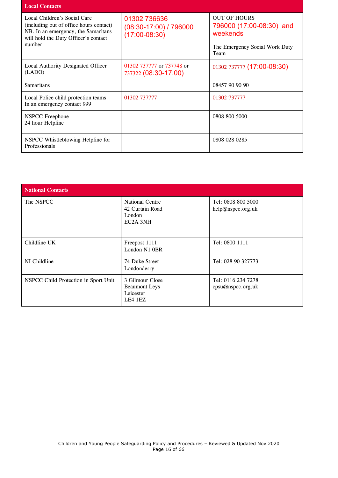| <b>Local Contacts</b>                                                                                                                                            |                                                             |                                                                                                       |
|------------------------------------------------------------------------------------------------------------------------------------------------------------------|-------------------------------------------------------------|-------------------------------------------------------------------------------------------------------|
| Local Children's Social Care<br>(including out of office hours contact)<br>NB. In an emergency, the Samaritans<br>will hold the Duty Officer's contact<br>number | 01302 736636<br>$(08:30-17:00)$ / 796000<br>$(17:00-08:30)$ | <b>OUT OF HOURS</b><br>796000 (17:00-08:30) and<br>weekends<br>The Emergency Social Work Duty<br>Team |
| Local Authority Designated Officer<br>(LADO)                                                                                                                     | 01302 737777 or 737748 or<br>737322 (08:30-17:00)           | 01302 737777 (17:00-08:30)                                                                            |
| <b>Samaritans</b>                                                                                                                                                |                                                             | 08457 90 90 90                                                                                        |
| Local Police child protection teams<br>In an emergency contact 999                                                                                               | 01302 737777                                                | 01302 737777                                                                                          |
| <b>NSPCC</b> Freephone<br>24 hour Helpline                                                                                                                       |                                                             | 0808 800 5000                                                                                         |
| NSPCC Whistleblowing Helpline for<br>Professionals                                                                                                               |                                                             | 0808 028 0285                                                                                         |

<span id="page-15-0"></span>

| <b>National Contacts</b>             |                                                                              |                                         |
|--------------------------------------|------------------------------------------------------------------------------|-----------------------------------------|
| The NSPCC                            | <b>National Centre</b><br>42 Curtain Road<br>London<br>EC <sub>2</sub> A 3NH | Tel: 0808 800 5000<br>help@nspcc.org.uk |
| Childline UK                         | Freepost 1111<br>London N1 OBR                                               | Tel: 0800 1111                          |
| NI Childline                         | 74 Duke Street<br>Londonderry                                                | Tel: 028 90 327773                      |
| NSPCC Child Protection in Sport Unit | 3 Gilmour Close<br><b>Beaumont</b> Leys<br>Leicester<br>LE4 1EZ              | Tel: 0116 234 7278<br>cpsu@nspcc.org.uk |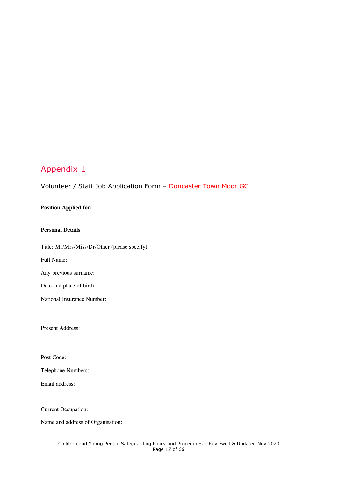#### Volunteer / Staff Job Application Form – Doncaster Town Moor GC

| <b>Position Applied for:</b>                 |
|----------------------------------------------|
| <b>Personal Details</b>                      |
| Title: Mr/Mrs/Miss/Dr/Other (please specify) |
| Full Name:                                   |
| Any previous surname:                        |
| Date and place of birth:                     |
| National Insurance Number:                   |
| Present Address:                             |
| Post Code:                                   |
| Telephone Numbers:                           |
| Email address:                               |
| Current Occupation:                          |
| Name and address of Organisation:            |
|                                              |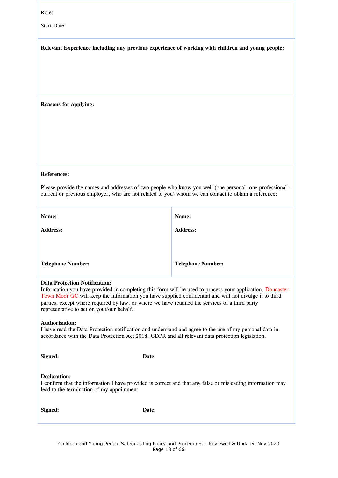| Role:<br><b>Start Date:</b>                                                                                                                                                                                                                                                                                                                                                                                |                                                                                                                                                                                                                  |  |  |
|------------------------------------------------------------------------------------------------------------------------------------------------------------------------------------------------------------------------------------------------------------------------------------------------------------------------------------------------------------------------------------------------------------|------------------------------------------------------------------------------------------------------------------------------------------------------------------------------------------------------------------|--|--|
| Relevant Experience including any previous experience of working with children and young people:                                                                                                                                                                                                                                                                                                           |                                                                                                                                                                                                                  |  |  |
| <b>Reasons for applying:</b>                                                                                                                                                                                                                                                                                                                                                                               |                                                                                                                                                                                                                  |  |  |
| <b>References:</b>                                                                                                                                                                                                                                                                                                                                                                                         | Please provide the names and addresses of two people who know you well (one personal, one professional –<br>current or previous employer, who are not related to you) whom we can contact to obtain a reference: |  |  |
| Name:                                                                                                                                                                                                                                                                                                                                                                                                      | Name:                                                                                                                                                                                                            |  |  |
| <b>Address:</b>                                                                                                                                                                                                                                                                                                                                                                                            | <b>Address:</b>                                                                                                                                                                                                  |  |  |
| <b>Telephone Number:</b>                                                                                                                                                                                                                                                                                                                                                                                   | <b>Telephone Number:</b>                                                                                                                                                                                         |  |  |
| <b>Data Protection Notification:</b><br>Information you have provided in completing this form will be used to process your application. Doncaster<br>Town Moor GC will keep the information you have supplied confidential and will not divulge it to third<br>parties, except where required by law, or where we have retained the services of a third party<br>representative to act on yout/our behalf. |                                                                                                                                                                                                                  |  |  |
| <b>Authorisation:</b>                                                                                                                                                                                                                                                                                                                                                                                      | I have read the Data Protection notification and understand and agree to the use of my personal data in<br>accordance with the Data Protection Act 2018, GDPR and all relevant data protection legislation.      |  |  |
| Signed:                                                                                                                                                                                                                                                                                                                                                                                                    | Date:                                                                                                                                                                                                            |  |  |
| <b>Declaration:</b><br>lead to the termination of my appointment.                                                                                                                                                                                                                                                                                                                                          | I confirm that the information I have provided is correct and that any false or misleading information may                                                                                                       |  |  |
| Signed:                                                                                                                                                                                                                                                                                                                                                                                                    | Date:                                                                                                                                                                                                            |  |  |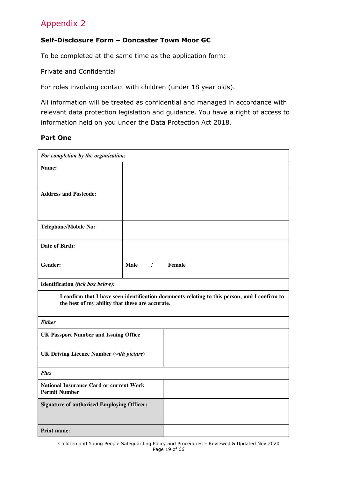#### <span id="page-18-0"></span>**Self-Disclosure Form – Doncaster Town Moor GC**

To be completed at the same time as the application form:

Private and Confidential

For roles involving contact with children (under 18 year olds).

All information will be treated as confidential and managed in accordance with relevant data protection legislation and guidance. You have a right of access to information held on you under the Data Protection Act 2018.

#### **Part One**

| For completion by the organisation:                                                                                                              |                         |        |  |
|--------------------------------------------------------------------------------------------------------------------------------------------------|-------------------------|--------|--|
| Name:                                                                                                                                            |                         |        |  |
| <b>Address and Postcode:</b>                                                                                                                     |                         |        |  |
| <b>Telephone/Mobile No:</b>                                                                                                                      |                         |        |  |
| Date of Birth:                                                                                                                                   |                         |        |  |
| Gender:                                                                                                                                          | <b>Male</b><br>$\prime$ | Female |  |
| Identification (tick box below):                                                                                                                 |                         |        |  |
| I confirm that I have seen identification documents relating to this person, and I confirm to<br>the best of my ability that these are accurate. |                         |        |  |
| <b>Either</b>                                                                                                                                    |                         |        |  |
| <b>UK Passport Number and Issuing Office</b>                                                                                                     |                         |        |  |
| <b>UK Driving Licence Number (with picture)</b>                                                                                                  |                         |        |  |
| <b>Plus</b>                                                                                                                                      |                         |        |  |
| <b>National Insurance Card or current Work</b><br><b>Permit Number</b>                                                                           |                         |        |  |
| <b>Signature of authorised Employing Officer:</b>                                                                                                |                         |        |  |
| Print name:                                                                                                                                      |                         |        |  |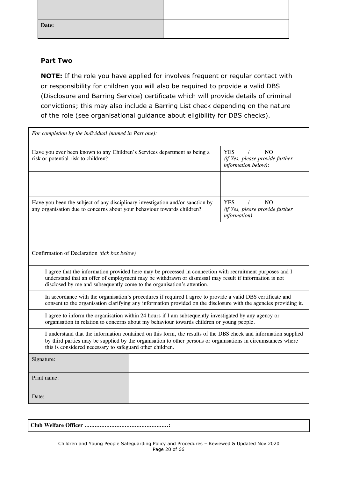| Date: |  |
|-------|--|

#### **Part Two**

**NOTE:** If the role you have applied for involves frequent or regular contact with or responsibility for children you will also be required to provide a valid DBS (Disclosure and Barring Service) certificate which will provide details of criminal convictions; this may also include a Barring List check depending on the nature of the role (see organisational guidance about eligibility for DBS checks).

| <b>YES</b><br>N <sub>O</sub><br>Have you ever been known to any Children's Services department as being a<br>$\prime$<br>risk or potential risk to children?<br>(if Yes, please provide further<br>information below):<br>Have you been the subject of any disciplinary investigation and/or sanction by<br>NO<br><b>YES</b><br>$\prime$<br>any organisation due to concerns about your behaviour towards children?<br>(if Yes, please provide further<br>information)<br>Confirmation of Declaration (tick box below)<br>I agree that the information provided here may be processed in connection with recruitment purposes and I<br>understand that an offer of employment may be withdrawn or dismissal may result if information is not<br>disclosed by me and subsequently come to the organisation's attention.<br>In accordance with the organisation's procedures if required I agree to provide a valid DBS certificate and<br>consent to the organisation clarifying any information provided on the disclosure with the agencies providing it.<br>I agree to inform the organisation within 24 hours if I am subsequently investigated by any agency or<br>organisation in relation to concerns about my behaviour towards children or young people.<br>I understand that the information contained on this form, the results of the DBS check and information supplied<br>by third parties may be supplied by the organisation to other persons or organisations in circumstances where<br>this is considered necessary to safeguard other children.<br>Signature:<br>Print name:<br>Date: | For completion by the individual (named in Part one): |  |  |
|---------------------------------------------------------------------------------------------------------------------------------------------------------------------------------------------------------------------------------------------------------------------------------------------------------------------------------------------------------------------------------------------------------------------------------------------------------------------------------------------------------------------------------------------------------------------------------------------------------------------------------------------------------------------------------------------------------------------------------------------------------------------------------------------------------------------------------------------------------------------------------------------------------------------------------------------------------------------------------------------------------------------------------------------------------------------------------------------------------------------------------------------------------------------------------------------------------------------------------------------------------------------------------------------------------------------------------------------------------------------------------------------------------------------------------------------------------------------------------------------------------------------------------------------------------------------------------------------------------|-------------------------------------------------------|--|--|
|                                                                                                                                                                                                                                                                                                                                                                                                                                                                                                                                                                                                                                                                                                                                                                                                                                                                                                                                                                                                                                                                                                                                                                                                                                                                                                                                                                                                                                                                                                                                                                                                         |                                                       |  |  |
|                                                                                                                                                                                                                                                                                                                                                                                                                                                                                                                                                                                                                                                                                                                                                                                                                                                                                                                                                                                                                                                                                                                                                                                                                                                                                                                                                                                                                                                                                                                                                                                                         |                                                       |  |  |
|                                                                                                                                                                                                                                                                                                                                                                                                                                                                                                                                                                                                                                                                                                                                                                                                                                                                                                                                                                                                                                                                                                                                                                                                                                                                                                                                                                                                                                                                                                                                                                                                         |                                                       |  |  |
|                                                                                                                                                                                                                                                                                                                                                                                                                                                                                                                                                                                                                                                                                                                                                                                                                                                                                                                                                                                                                                                                                                                                                                                                                                                                                                                                                                                                                                                                                                                                                                                                         |                                                       |  |  |
|                                                                                                                                                                                                                                                                                                                                                                                                                                                                                                                                                                                                                                                                                                                                                                                                                                                                                                                                                                                                                                                                                                                                                                                                                                                                                                                                                                                                                                                                                                                                                                                                         |                                                       |  |  |
|                                                                                                                                                                                                                                                                                                                                                                                                                                                                                                                                                                                                                                                                                                                                                                                                                                                                                                                                                                                                                                                                                                                                                                                                                                                                                                                                                                                                                                                                                                                                                                                                         |                                                       |  |  |
|                                                                                                                                                                                                                                                                                                                                                                                                                                                                                                                                                                                                                                                                                                                                                                                                                                                                                                                                                                                                                                                                                                                                                                                                                                                                                                                                                                                                                                                                                                                                                                                                         |                                                       |  |  |
|                                                                                                                                                                                                                                                                                                                                                                                                                                                                                                                                                                                                                                                                                                                                                                                                                                                                                                                                                                                                                                                                                                                                                                                                                                                                                                                                                                                                                                                                                                                                                                                                         |                                                       |  |  |
|                                                                                                                                                                                                                                                                                                                                                                                                                                                                                                                                                                                                                                                                                                                                                                                                                                                                                                                                                                                                                                                                                                                                                                                                                                                                                                                                                                                                                                                                                                                                                                                                         |                                                       |  |  |
|                                                                                                                                                                                                                                                                                                                                                                                                                                                                                                                                                                                                                                                                                                                                                                                                                                                                                                                                                                                                                                                                                                                                                                                                                                                                                                                                                                                                                                                                                                                                                                                                         |                                                       |  |  |
|                                                                                                                                                                                                                                                                                                                                                                                                                                                                                                                                                                                                                                                                                                                                                                                                                                                                                                                                                                                                                                                                                                                                                                                                                                                                                                                                                                                                                                                                                                                                                                                                         |                                                       |  |  |
|                                                                                                                                                                                                                                                                                                                                                                                                                                                                                                                                                                                                                                                                                                                                                                                                                                                                                                                                                                                                                                                                                                                                                                                                                                                                                                                                                                                                                                                                                                                                                                                                         |                                                       |  |  |

**Club Welfare Officer …………………………………………..:**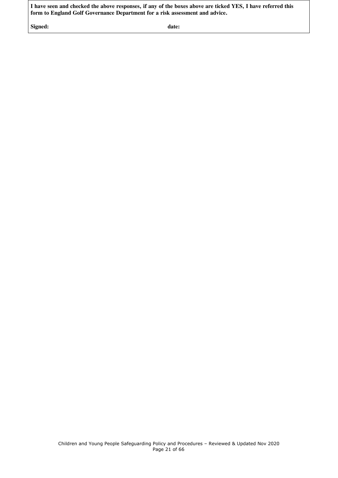I have seen and checked the above responses, if any of the boxes above are ticked YES, I have referred this **form to England Golf Governance Department for a risk assessment and advice.**

**Signed: date:**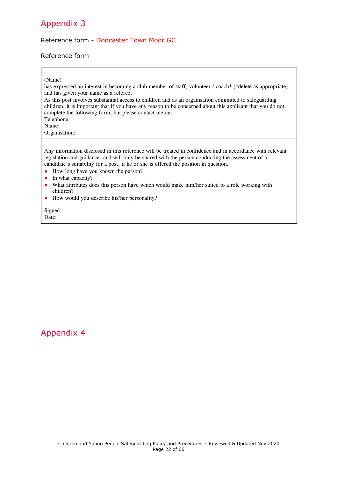#### <span id="page-21-0"></span>Reference form - Doncaster Town Moor GC

#### Reference form

#### (Name)

has expressed an interest in becoming a club member of staff, volunteer / coach\* (\*delete as appropriate) and has given your name as a referee. As this post involves substantial access to children and as an organisation committed to safeguarding

children, it is important that if you have any reason to be concerned about this applicant that you do not complete the following form, but please contact me on: Telephone:

Name:

Organisation:

Any information disclosed in this reference will be treated in confidence and in accordance with relevant legislation and guidance, and will only be shared with the person conducting the assessment of a candidate's suitability for a post, if he or she is offered the position in question.

- How long have you known the person?
- In what capacity?
- What attributes does this person have which would make him/her suited to a role working with children?
- How would you describe his/her personality?

<span id="page-21-1"></span>Signed: Date:

#### Appendix 4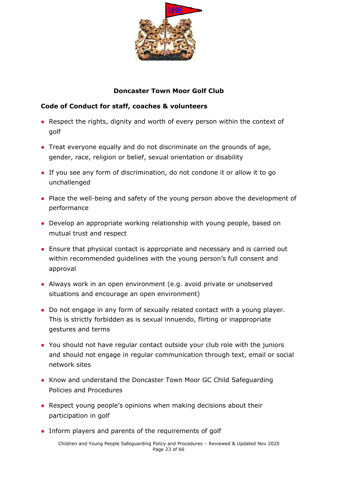

#### **Doncaster Town Moor Golf Club**

#### **Code of Conduct for staff, coaches & volunteers**

- Respect the rights, dignity and worth of every person within the context of golf
- Treat everyone equally and do not discriminate on the grounds of age, gender, race, religion or belief, sexual orientation or disability
- If you see any form of discrimination, do not condone it or allow it to go unchallenged
- Place the well-being and safety of the young person above the development of performance
- Develop an appropriate working relationship with young people, based on mutual trust and respect
- Ensure that physical contact is appropriate and necessary and is carried out within recommended guidelines with the young person's full consent and approval
- Always work in an open environment (e.g. avoid private or unobserved situations and encourage an open environment)
- Do not engage in any form of sexually related contact with a young player. This is strictly forbidden as is sexual innuendo, flirting or inappropriate gestures and terms
- You should not have regular contact outside your club role with the juniors and should not engage in regular communication through text, email or social network sites
- Know and understand the Doncaster Town Moor GC Child Safeguarding Policies and Procedures
- Respect young people's opinions when making decisions about their participation in golf
- Inform players and parents of the requirements of golf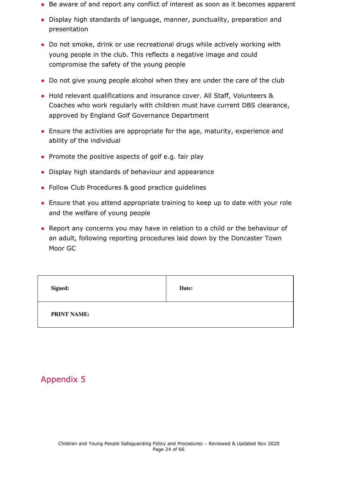- Be aware of and report any conflict of interest as soon as it becomes apparent
- Display high standards of language, manner, punctuality, preparation and presentation
- Do not smoke, drink or use recreational drugs while actively working with young people in the club. This reflects a negative image and could compromise the safety of the young people
- Do not give young people alcohol when they are under the care of the club
- Hold relevant qualifications and insurance cover. All Staff, Volunteers & Coaches who work regularly with children must have current DBS clearance, approved by England Golf Governance Department
- Ensure the activities are appropriate for the age, maturity, experience and ability of the individual
- Promote the positive aspects of golf e.g. fair play
- Display high standards of behaviour and appearance
- Follow Club Procedures & good practice quidelines
- Ensure that you attend appropriate training to keep up to date with your role and the welfare of young people
- Report any concerns you may have in relation to a child or the behaviour of an adult, following reporting procedures laid down by the Doncaster Town Moor GC

<span id="page-23-0"></span>

| Signed:            | Date: |
|--------------------|-------|
| <b>PRINT NAME:</b> |       |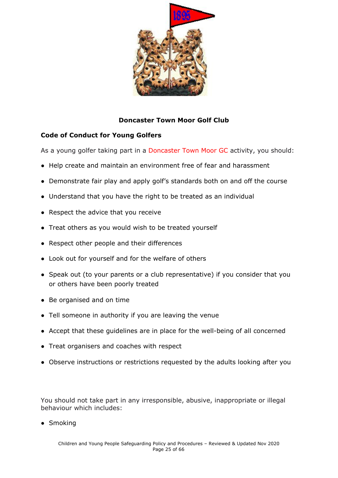

#### **Doncaster Town Moor Golf Club**

#### **Code of Conduct for Young Golfers**

As a young golfer taking part in a Doncaster Town Moor GC activity, you should:

- Help create and maintain an environment free of fear and harassment
- Demonstrate fair play and apply golf's standards both on and off the course
- Understand that you have the right to be treated as an individual
- Respect the advice that you receive
- Treat others as you would wish to be treated yourself
- Respect other people and their differences
- Look out for yourself and for the welfare of others
- Speak out (to your parents or a club representative) if you consider that you or others have been poorly treated
- Be organised and on time
- Tell someone in authority if you are leaving the venue
- Accept that these guidelines are in place for the well-being of all concerned
- Treat organisers and coaches with respect
- Observe instructions or restrictions requested by the adults looking after you

You should not take part in any irresponsible, abusive, inappropriate or illegal behaviour which includes:

• Smoking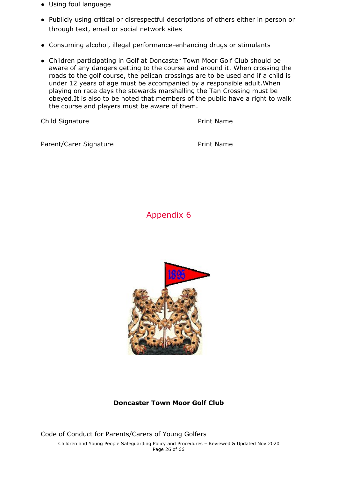- Using foul language
- Publicly using critical or disrespectful descriptions of others either in person or through text, email or social network sites
- Consuming alcohol, illegal performance-enhancing drugs or stimulants
- Children participating in Golf at Doncaster Town Moor Golf Club should be aware of any dangers getting to the course and around it. When crossing the roads to the golf course, the pelican crossings are to be used and if a child is under 12 years of age must be accompanied by a responsible adult.When playing on race days the stewards marshalling the Tan Crossing must be obeyed.It is also to be noted that members of the public have a right to walk the course and players must be aware of them.

Child Signature **Print Name** 

<span id="page-25-0"></span>Parent/Carer Signature **Print Name** 

Appendix 6



#### **Doncaster Town Moor Golf Club**

Code of Conduct for Parents/Carers of Young Golfers Children and Young People Safeguarding Policy and Procedures – Reviewed & Updated Nov 2020 Page 26 of 66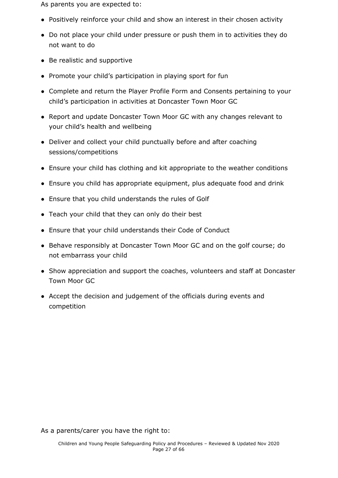As parents you are expected to:

- Positively reinforce your child and show an interest in their chosen activity
- Do not place your child under pressure or push them in to activities they do not want to do
- Be realistic and supportive
- Promote your child's participation in playing sport for fun
- Complete and return the Player Profile Form and Consents pertaining to your child's participation in activities at Doncaster Town Moor GC
- Report and update Doncaster Town Moor GC with any changes relevant to your child's health and wellbeing
- Deliver and collect your child punctually before and after coaching sessions/competitions
- Ensure your child has clothing and kit appropriate to the weather conditions
- Ensure you child has appropriate equipment, plus adequate food and drink
- Ensure that you child understands the rules of Golf
- Teach your child that they can only do their best
- Ensure that your child understands their Code of Conduct
- Behave responsibly at Doncaster Town Moor GC and on the golf course; do not embarrass your child
- Show appreciation and support the coaches, volunteers and staff at Doncaster Town Moor GC
- Accept the decision and judgement of the officials during events and competition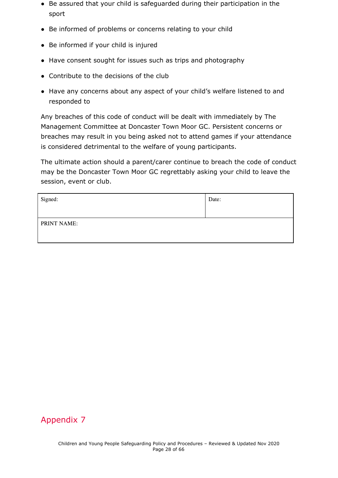- Be assured that your child is safeguarded during their participation in the sport
- Be informed of problems or concerns relating to your child
- Be informed if your child is injured
- Have consent sought for issues such as trips and photography
- Contribute to the decisions of the club
- Have any concerns about any aspect of your child's welfare listened to and responded to

Any breaches of this code of conduct will be dealt with immediately by The Management Committee at Doncaster Town Moor GC. Persistent concerns or breaches may result in you being asked not to attend games if your attendance is considered detrimental to the welfare of young participants.

The ultimate action should a parent/carer continue to breach the code of conduct may be the Doncaster Town Moor GC regrettably asking your child to leave the session, event or club.

| Signed:     | Date: |
|-------------|-------|
| PRINT NAME: |       |

## Appendix 7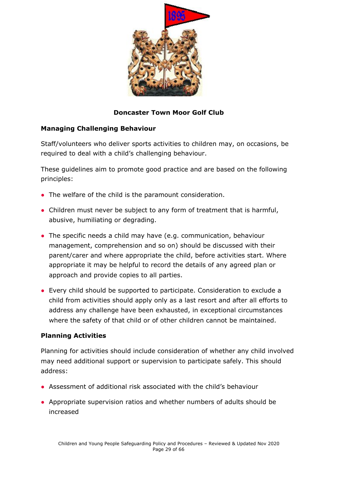

#### **Doncaster Town Moor Golf Club**

#### **Managing Challenging Behaviour**

Staff/volunteers who deliver sports activities to children may, on occasions, be required to deal with a child's challenging behaviour.

These guidelines aim to promote good practice and are based on the following principles:

- The welfare of the child is the paramount consideration.
- Children must never be subject to any form of treatment that is harmful, abusive, humiliating or degrading.
- The specific needs a child may have (e.g. communication, behaviour management, comprehension and so on) should be discussed with their parent/carer and where appropriate the child, before activities start. Where appropriate it may be helpful to record the details of any agreed plan or approach and provide copies to all parties.
- Every child should be supported to participate. Consideration to exclude a child from activities should apply only as a last resort and after all efforts to address any challenge have been exhausted, in exceptional circumstances where the safety of that child or of other children cannot be maintained.

#### **Planning Activities**

Planning for activities should include consideration of whether any child involved may need additional support or supervision to participate safely. This should address:

- Assessment of additional risk associated with the child's behaviour
- Appropriate supervision ratios and whether numbers of adults should be increased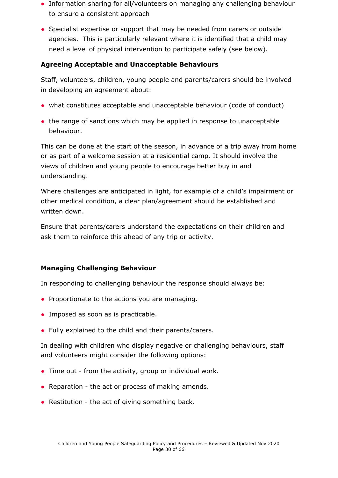- Information sharing for all/volunteers on managing any challenging behaviour to ensure a consistent approach
- Specialist expertise or support that may be needed from carers or outside agencies. This is particularly relevant where it is identified that a child may need a level of physical intervention to participate safely (see below).

#### **Agreeing Acceptable and Unacceptable Behaviours**

Staff, volunteers, children, young people and parents/carers should be involved in developing an agreement about:

- what constitutes acceptable and unacceptable behaviour (code of conduct)
- the range of sanctions which may be applied in response to unacceptable behaviour.

This can be done at the start of the season, in advance of a trip away from home or as part of a welcome session at a residential camp. It should involve the views of children and young people to encourage better buy in and understanding.

Where challenges are anticipated in light, for example of a child's impairment or other medical condition, a clear plan/agreement should be established and written down.

Ensure that parents/carers understand the expectations on their children and ask them to reinforce this ahead of any trip or activity.

#### **Managing Challenging Behaviour**

In responding to challenging behaviour the response should always be:

- Proportionate to the actions you are managing.
- Imposed as soon as is practicable.
- Fully explained to the child and their parents/carers.

In dealing with children who display negative or challenging behaviours, staff and volunteers might consider the following options:

- Time out from the activity, group or individual work.
- Reparation the act or process of making amends.
- Restitution the act of giving something back.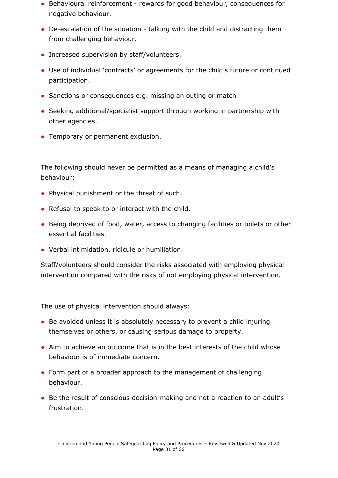- Behavioural reinforcement rewards for good behaviour, consequences for negative behaviour.
- De-escalation of the situation talking with the child and distracting them from challenging behaviour.
- Increased supervision by staff/volunteers.
- Use of individual 'contracts' or agreements for the child's future or continued participation.
- Sanctions or consequences e.g. missing an outing or match
- Seeking additional/specialist support through working in partnership with other agencies.
- Temporary or permanent exclusion.

The following should never be permitted as a means of managing a child's behaviour:

- Physical punishment or the threat of such.
- Refusal to speak to or interact with the child.
- Being deprived of food, water, access to changing facilities or toilets or other essential facilities.
- Verbal intimidation, ridicule or humiliation.

Staff/volunteers should consider the risks associated with employing physical intervention compared with the risks of not employing physical intervention.

The use of physical intervention should always:

- Be avoided unless it is absolutely necessary to prevent a child injuring themselves or others, or causing serious damage to property.
- Aim to achieve an outcome that is in the best interests of the child whose behaviour is of immediate concern.
- Form part of a broader approach to the management of challenging behaviour.
- Be the result of conscious decision-making and not a reaction to an adult's frustration.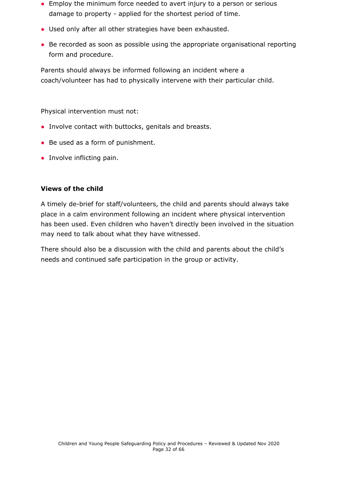- Employ the minimum force needed to avert injury to a person or serious damage to property - applied for the shortest period of time.
- Used only after all other strategies have been exhausted.
- Be recorded as soon as possible using the appropriate organisational reporting form and procedure.

Parents should always be informed following an incident where a coach/volunteer has had to physically intervene with their particular child.

Physical intervention must not:

- Involve contact with buttocks, genitals and breasts.
- Be used as a form of punishment.
- Involve inflicting pain.

#### **Views of the child**

A timely de-brief for staff/volunteers, the child and parents should always take place in a calm environment following an incident where physical intervention has been used. Even children who haven't directly been involved in the situation may need to talk about what they have witnessed.

There should also be a discussion with the child and parents about the child's needs and continued safe participation in the group or activity.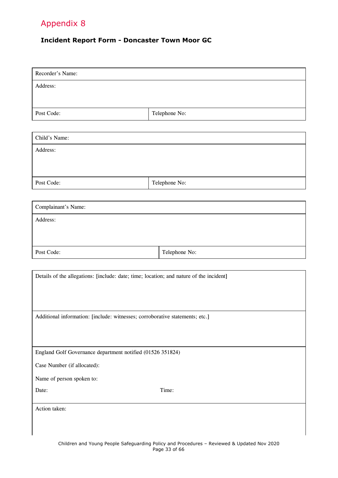#### <span id="page-32-0"></span>**Incident Report Form - Doncaster Town Moor GC**

| Recorder's Name:                                                                        |                                                                                            |  |
|-----------------------------------------------------------------------------------------|--------------------------------------------------------------------------------------------|--|
| Address:                                                                                |                                                                                            |  |
|                                                                                         |                                                                                            |  |
| Post Code:                                                                              | Telephone No:                                                                              |  |
|                                                                                         |                                                                                            |  |
| Child's Name:                                                                           |                                                                                            |  |
| Address:                                                                                |                                                                                            |  |
|                                                                                         |                                                                                            |  |
| Post Code:                                                                              | Telephone No:                                                                              |  |
|                                                                                         |                                                                                            |  |
| Complainant's Name:                                                                     |                                                                                            |  |
| Address:                                                                                |                                                                                            |  |
|                                                                                         |                                                                                            |  |
| Post Code:                                                                              | Telephone No:                                                                              |  |
|                                                                                         |                                                                                            |  |
| Details of the allegations: [include: date; time; location; and nature of the incident] |                                                                                            |  |
|                                                                                         |                                                                                            |  |
|                                                                                         |                                                                                            |  |
| Additional information: [include: witnesses; corroborative statements; etc.]            |                                                                                            |  |
|                                                                                         |                                                                                            |  |
|                                                                                         |                                                                                            |  |
| England Golf Governance department notified (01526 351824)                              |                                                                                            |  |
| Case Number (if allocated):                                                             |                                                                                            |  |
| Name of person spoken to:                                                               |                                                                                            |  |
| Date:                                                                                   | Time:                                                                                      |  |
| Action taken:                                                                           |                                                                                            |  |
|                                                                                         |                                                                                            |  |
|                                                                                         | Children and Young People Safeguarding Policy and Procedures - Reviewed & Undated Nov 2020 |  |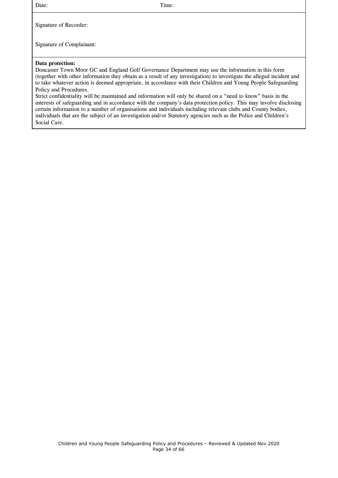Date: Time:

Signature of Recorder:

Signature of Complainant:

#### **Data protection:**

Doncaster Town Moor GC and England Golf Governance Department may use the information in this form (together with other information they obtain as a result of any investigation) to investigate the alleged incident and to take whatever action is deemed appropriate, in accordance with their Children and Young People Safeguarding Policy and Procedures.

<span id="page-33-0"></span>Strict confidentiality will be maintained and information will only be shared on a "need to know" basis in the interests of safeguarding and in accordance with the company's data protection policy. This may involve disclosing certain information to a number of organisations and individuals including relevant clubs and County bodies, individuals that are the subject of an investigation and/or Statutory agencies such as the Police and Children's Social Care.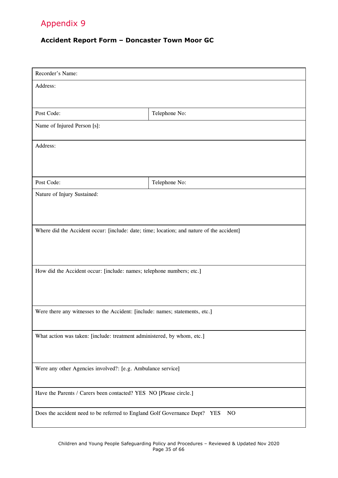#### **Accident Report Form – Doncaster Town Moor GC**

| Recorder's Name:                                                                          |                |  |
|-------------------------------------------------------------------------------------------|----------------|--|
| Address:                                                                                  |                |  |
|                                                                                           |                |  |
| Post Code:                                                                                | Telephone No:  |  |
| Name of Injured Person [s]:                                                               |                |  |
| Address:                                                                                  |                |  |
|                                                                                           |                |  |
| Post Code:                                                                                | Telephone No:  |  |
|                                                                                           |                |  |
| Nature of Injury Sustained:                                                               |                |  |
|                                                                                           |                |  |
| Where did the Accident occur: [include: date; time; location; and nature of the accident] |                |  |
|                                                                                           |                |  |
|                                                                                           |                |  |
| How did the Accident occur: [include: names; telephone numbers; etc.]                     |                |  |
|                                                                                           |                |  |
|                                                                                           |                |  |
|                                                                                           |                |  |
| Were there any witnesses to the Accident: [include: names; statements, etc.]              |                |  |
| What action was taken: [include: treatment administered, by whom, etc.]                   |                |  |
|                                                                                           |                |  |
|                                                                                           |                |  |
| Were any other Agencies involved?: [e.g. Ambulance service]                               |                |  |
|                                                                                           |                |  |
| Have the Parents / Carers been contacted? YES NO [Please circle.]                         |                |  |
| Does the accident need to be referred to England Golf Governance Dept? YES                | N <sub>O</sub> |  |
|                                                                                           |                |  |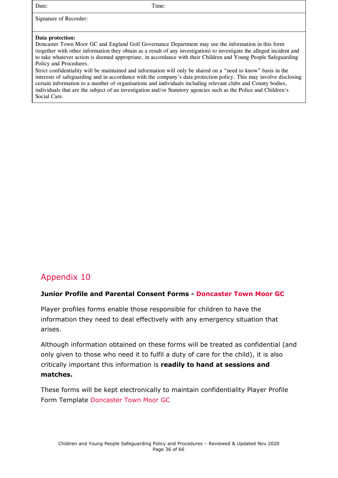Date: Time: Signature of Recorder: **Data protection:** Doncaster Town Moor GC and England Golf Governance Department may use the information in this form (together with other information they obtain as a result of any investigation) to investigate the alleged incident and to take whatever action is deemed appropriate, in accordance with their Children and Young People Safeguarding Policy and Procedures. Strict confidentiality will be maintained and information will only be shared on a "need to know" basis in the interests of safeguarding and in accordance with the company's data protection policy. This may involve disclosing certain information to a number of organisations and individuals including relevant clubs and County bodies, individuals that are the subject of an investigation and/or Statutory agencies such as the Police and Children's Social Care.

## <span id="page-35-0"></span>Appendix 10

#### **Junior Profile and Parental Consent Forms - Doncaster Town Moor GC**

Player profiles forms enable those responsible for children to have the information they need to deal effectively with any emergency situation that arises.

Although information obtained on these forms will be treated as confidential (and only given to those who need it to fulfil a duty of care for the child), it is also critically important this information is **readily to hand at sessions and matches.**

These forms will be kept electronically to maintain confidentiality Player Profile Form Template Doncaster Town Moor GC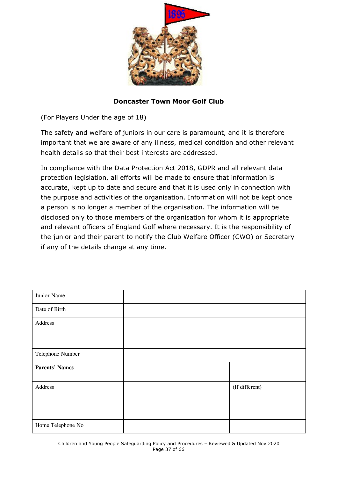

**Doncaster Town Moor Golf Club**

(For Players Under the age of 18)

The safety and welfare of juniors in our care is paramount, and it is therefore important that we are aware of any illness, medical condition and other relevant health details so that their best interests are addressed.

In compliance with the Data Protection Act 2018, GDPR and all relevant data protection legislation, all efforts will be made to ensure that information is accurate, kept up to date and secure and that it is used only in connection with the purpose and activities of the organisation. Information will not be kept once a person is no longer a member of the organisation. The information will be disclosed only to those members of the organisation for whom it is appropriate and relevant officers of England Golf where necessary. It is the responsibility of the junior and their parent to notify the Club Welfare Officer (CWO) or Secretary if any of the details change at any time.

| Junior Name           |                |
|-----------------------|----------------|
| Date of Birth         |                |
| Address               |                |
| Telephone Number      |                |
| <b>Parents' Names</b> |                |
| Address               | (If different) |
| Home Telephone No     |                |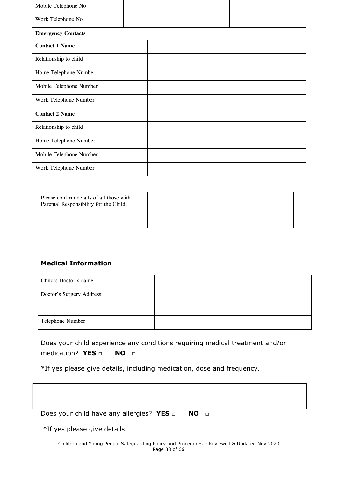| Mobile Telephone No       |  |  |
|---------------------------|--|--|
| Work Telephone No         |  |  |
| <b>Emergency Contacts</b> |  |  |
| <b>Contact 1 Name</b>     |  |  |
| Relationship to child     |  |  |
| Home Telephone Number     |  |  |
| Mobile Telephone Number   |  |  |
| Work Telephone Number     |  |  |
| <b>Contact 2 Name</b>     |  |  |
| Relationship to child     |  |  |
| Home Telephone Number     |  |  |
| Mobile Telephone Number   |  |  |
| Work Telephone Number     |  |  |

| Please confirm details of all those with<br>Parental Responsibility for the Child. |  |
|------------------------------------------------------------------------------------|--|
|                                                                                    |  |

#### **Medical Information**

| Child's Doctor's name    |  |
|--------------------------|--|
| Doctor's Surgery Address |  |
|                          |  |
| Telephone Number         |  |

Does your child experience any conditions requiring medical treatment and/or medication? **YES □ NO □**

\*If yes please give details, including medication, dose and frequency.

| Does your child have any allergies? $YES \Box$ | NO O |
|------------------------------------------------|------|
| *If yes please give details.                   |      |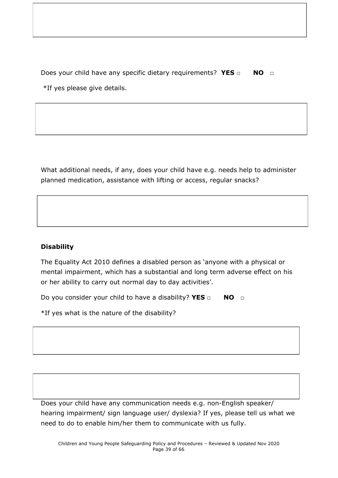Does your child have any specific dietary requirements? **YES □ NO □** \*If yes please give details.

What additional needs, if any, does your child have e.g. needs help to administer planned medication, assistance with lifting or access, regular snacks?

#### **Disability**

The Equality Act 2010 defines a disabled person as 'anyone with a physical or mental impairment, which has a substantial and long term adverse effect on his or her ability to carry out normal day to day activities'.

Do you consider your child to have a disability? **YES □ NO □**

\*If yes what is the nature of the disability?

Does your child have any communication needs e.g. non-English speaker/ hearing impairment/ sign language user/ dyslexia? If yes, please tell us what we need to do to enable him/her them to communicate with us fully.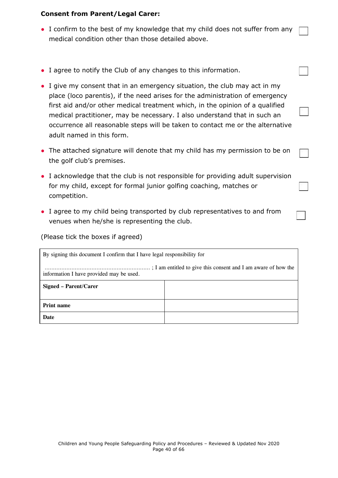#### **Consent from Parent/Legal Carer:**

- I confirm to the best of my knowledge that my child does not suffer from any medical condition other than those detailed above.
- I agree to notify the Club of any changes to this information.
- I give my consent that in an emergency situation, the club may act in my place (loco parentis), if the need arises for the administration of emergency first aid and/or other medical treatment which, in the opinion of a qualified medical practitioner, may be necessary. I also understand that in such an occurrence all reasonable steps will be taken to contact me or the alternative adult named in this form.
- The attached signature will denote that my child has my permission to be on the golf club's premises.
- I acknowledge that the club is not responsible for providing adult supervision for my child, except for formal junior golfing coaching, matches or competition.
- I agree to my child being transported by club representatives to and from venues when he/she is representing the club.

(Please tick the boxes if agreed)

| By signing this document I confirm that I have legal responsibility for |  |  |
|-------------------------------------------------------------------------|--|--|
| information I have provided may be used.                                |  |  |
| Signed – Parent/Carer                                                   |  |  |
| <b>Print name</b>                                                       |  |  |
| Date                                                                    |  |  |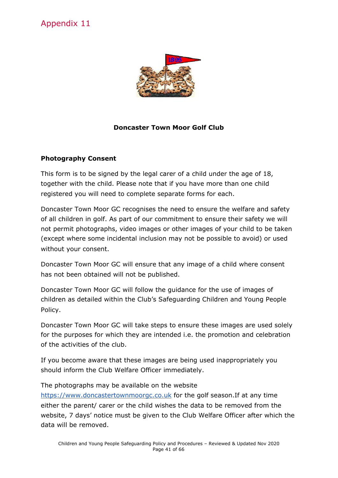<span id="page-40-0"></span>

#### **Doncaster Town Moor Golf Club**

#### **Photography Consent**

This form is to be signed by the legal carer of a child under the age of 18, together with the child. Please note that if you have more than one child registered you will need to complete separate forms for each.

Doncaster Town Moor GC recognises the need to ensure the welfare and safety of all children in golf. As part of our commitment to ensure their safety we will not permit photographs, video images or other images of your child to be taken (except where some incidental inclusion may not be possible to avoid) or used without your consent.

Doncaster Town Moor GC will ensure that any image of a child where consent has not been obtained will not be published.

Doncaster Town Moor GC will follow the guidance for the use of images of children as detailed within the Club's Safeguarding Children and Young People Policy.

Doncaster Town Moor GC will take steps to ensure these images are used solely for the purposes for which they are intended i.e. the promotion and celebration of the activities of the club.

If you become aware that these images are being used inappropriately you should inform the Club Welfare Officer immediately.

The photographs may be available on the website

[https://www.doncastertownmoorgc.co.uk](https://www.doncastertownmoorgc.co.uk/) for the golf season. If at any time either the parent/ carer or the child wishes the data to be removed from the website, 7 days' notice must be given to the Club Welfare Officer after which the data will be removed.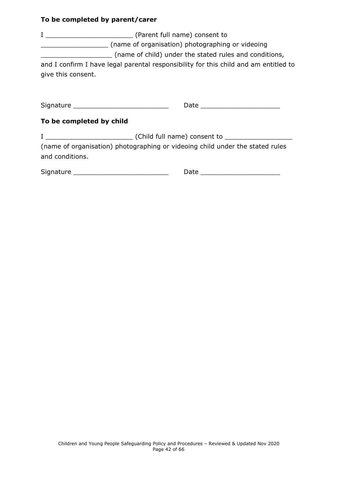#### **To be completed by parent/carer**

<span id="page-41-0"></span>

| and I confirm I have legal parental responsibility for this child and am entitled to<br>give this consent.                                    |                                 |
|-----------------------------------------------------------------------------------------------------------------------------------------------|---------------------------------|
| Signature _______________________________<br>To be completed by child                                                                         | Date _________________________  |
| (name of organisation) photographing or videoing child under the stated rules<br>and conditions.<br>Signature _______________________________ | Date __________________________ |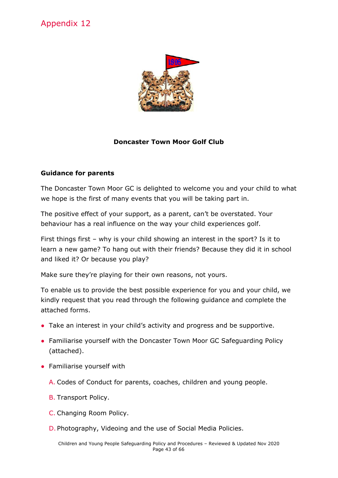

#### **Doncaster Town Moor Golf Club**

#### **Guidance for parents**

The Doncaster Town Moor GC is delighted to welcome you and your child to what we hope is the first of many events that you will be taking part in.

The positive effect of your support, as a parent, can't be overstated. Your behaviour has a real influence on the way your child experiences golf.

First things first – why is your child showing an interest in the sport? Is it to learn a new game? To hang out with their friends? Because they did it in school and liked it? Or because you play?

Make sure they're playing for their own reasons, not yours.

To enable us to provide the best possible experience for you and your child, we kindly request that you read through the following guidance and complete the attached forms.

- Take an interest in your child's activity and progress and be supportive.
- Familiarise yourself with the Doncaster Town Moor GC Safeguarding Policy (attached).
- Familiarise yourself with
	- A. Codes of Conduct for parents, coaches, children and young people.
	- B. Transport Policy.
	- C. Changing Room Policy.
	- D. Photography, Videoing and the use of Social Media Policies.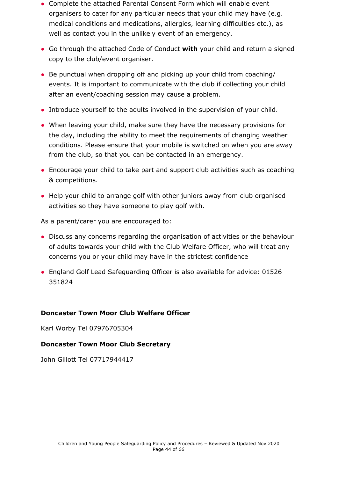- Complete the attached Parental Consent Form which will enable event organisers to cater for any particular needs that your child may have (e.g. medical conditions and medications, allergies, learning difficulties etc.), as well as contact you in the unlikely event of an emergency.
- Go through the attached Code of Conduct **with** your child and return a signed copy to the club/event organiser.
- Be punctual when dropping off and picking up your child from coaching/ events. It is important to communicate with the club if collecting your child after an event/coaching session may cause a problem.
- Introduce yourself to the adults involved in the supervision of your child.
- When leaving your child, make sure they have the necessary provisions for the day, including the ability to meet the requirements of changing weather conditions. Please ensure that your mobile is switched on when you are away from the club, so that you can be contacted in an emergency.
- Encourage your child to take part and support club activities such as coaching & competitions.
- Help your child to arrange golf with other juniors away from club organised activities so they have someone to play golf with.

As a parent/carer you are encouraged to:

- Discuss any concerns regarding the organisation of activities or the behaviour of adults towards your child with the Club Welfare Officer, who will treat any concerns you or your child may have in the strictest confidence
- England Golf Lead Safeguarding Officer is also available for advice: 01526 351824

#### **Doncaster Town Moor Club Welfare Officer**

Karl Worby Tel 07976705304

#### **Doncaster Town Moor Club Secretary**

<span id="page-43-0"></span>John Gillott Tel 07717944417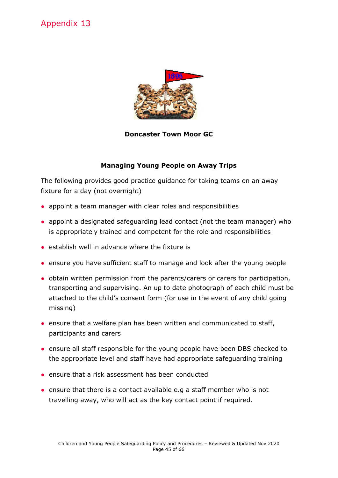

#### **Doncaster Town Moor GC**

#### **Managing Young People on Away Trips**

The following provides good practice guidance for taking teams on an away fixture for a day (not overnight)

- appoint a team manager with clear roles and responsibilities
- appoint a designated safeguarding lead contact (not the team manager) who is appropriately trained and competent for the role and responsibilities
- establish well in advance where the fixture is
- ensure you have sufficient staff to manage and look after the young people
- obtain written permission from the parents/carers or carers for participation, transporting and supervising. An up to date photograph of each child must be attached to the child's consent form (for use in the event of any child going missing)
- ensure that a welfare plan has been written and communicated to staff, participants and carers
- ensure all staff responsible for the young people have been DBS checked to the appropriate level and staff have had appropriate safeguarding training
- ensure that a risk assessment has been conducted
- ensure that there is a contact available e.g a staff member who is not travelling away, who will act as the key contact point if required.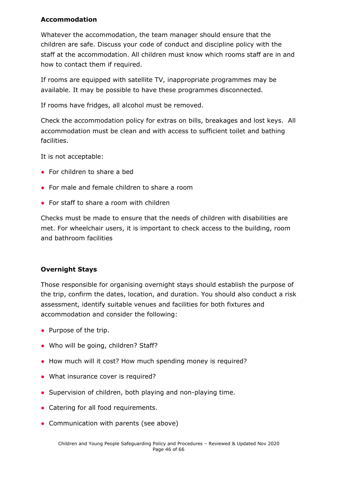#### **Accommodation**

Whatever the accommodation, the team manager should ensure that the children are safe. Discuss your code of conduct and discipline policy with the staff at the accommodation. All children must know which rooms staff are in and how to contact them if required.

If rooms are equipped with satellite TV, inappropriate programmes may be available. It may be possible to have these programmes disconnected.

If rooms have fridges, all alcohol must be removed.

Check the accommodation policy for extras on bills, breakages and lost keys. All accommodation must be clean and with access to sufficient toilet and bathing facilities.

It is not acceptable:

- For children to share a bed
- For male and female children to share a room
- For staff to share a room with children

Checks must be made to ensure that the needs of children with disabilities are met. For wheelchair users, it is important to check access to the building, room and bathroom facilities

#### **Overnight Stays**

Those responsible for organising overnight stays should establish the purpose of the trip, confirm the dates, location, and duration. You should also conduct a risk assessment, identify suitable venues and facilities for both fixtures and accommodation and consider the following:

- Purpose of the trip.
- Who will be going, children? Staff?
- How much will it cost? How much spending money is required?
- What insurance cover is required?
- Supervision of children, both playing and non-playing time.
- Catering for all food requirements.
- Communication with parents (see above)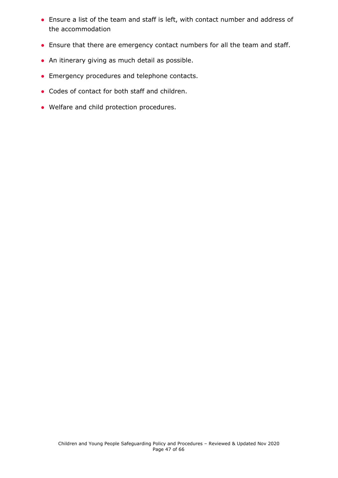- Ensure a list of the team and staff is left, with contact number and address of the accommodation
- Ensure that there are emergency contact numbers for all the team and staff.
- An itinerary giving as much detail as possible.
- Emergency procedures and telephone contacts.
- Codes of contact for both staff and children.
- <span id="page-46-0"></span>• Welfare and child protection procedures.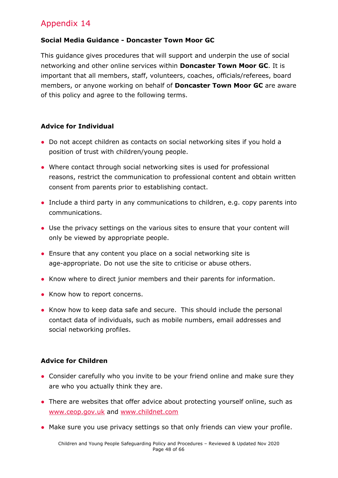#### **Social Media Guidance - Doncaster Town Moor GC**

This guidance gives procedures that will support and underpin the use of social networking and other online services within **Doncaster Town Moor GC**. It is important that all members, staff, volunteers, coaches, officials/referees, board members, or anyone working on behalf of **Doncaster Town Moor GC** are aware of this policy and agree to the following terms.

#### **Advice for Individual**

- Do not accept children as contacts on social networking sites if you hold a position of trust with children/young people.
- Where contact through social networking sites is used for professional reasons, restrict the communication to professional content and obtain written consent from parents prior to establishing contact.
- Include a third party in any communications to children, e.g. copy parents into communications.
- Use the privacy settings on the various sites to ensure that your content will only be viewed by appropriate people.
- Ensure that any content you place on a social networking site is age-appropriate. Do not use the site to criticise or abuse others.
- Know where to direct junior members and their parents for information.
- Know how to report concerns.
- Know how to keep data safe and secure. This should include the personal contact data of individuals, such as mobile numbers, email addresses and social networking profiles.

#### **Advice for Children**

- Consider carefully who you invite to be your friend online and make sure they are who you actually think they are.
- There are websites that offer advice about protecting yourself online, such as [www.ceop.gov.uk](http://www.ceop.gov.uk/) and [www.childnet.com](http://www.childnet.com/)
- Make sure you use privacy settings so that only friends can view your profile.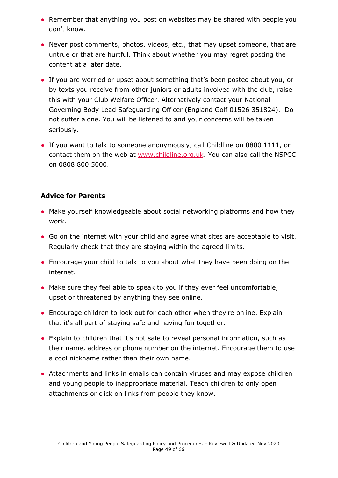- Remember that anything you post on websites may be shared with people you don't know.
- Never post comments, photos, videos, etc., that may upset someone, that are untrue or that are hurtful. Think about whether you may regret posting the content at a later date.
- If you are worried or upset about something that's been posted about you, or by texts you receive from other juniors or adults involved with the club, raise this with your Club Welfare Officer. Alternatively contact your National Governing Body Lead Safeguarding Officer (England Golf 01526 351824). Do not suffer alone. You will be listened to and your concerns will be taken seriously.
- If you want to talk to someone anonymously, call Childline on 0800 1111, or contact them on the web at [www.childline.org.uk](http://www.childline.org.uk/). You can also call the NSPCC on 0808 800 5000.

#### **Advice for Parents**

- Make yourself knowledgeable about social networking platforms and how they work.
- Go on the internet with your child and agree what sites are acceptable to visit. Regularly check that they are staying within the agreed limits.
- Encourage your child to talk to you about what they have been doing on the internet.
- Make sure they feel able to speak to you if they ever feel uncomfortable, upset or threatened by anything they see online.
- Encourage children to look out for each other when they're online. Explain that it's all part of staying safe and having fun together.
- Explain to children that it's not safe to reveal personal information, such as their name, address or phone number on the internet. Encourage them to use a cool nickname rather than their own name.
- Attachments and links in emails can contain viruses and may expose children and young people to inappropriate material. Teach children to only open attachments or click on links from people they know.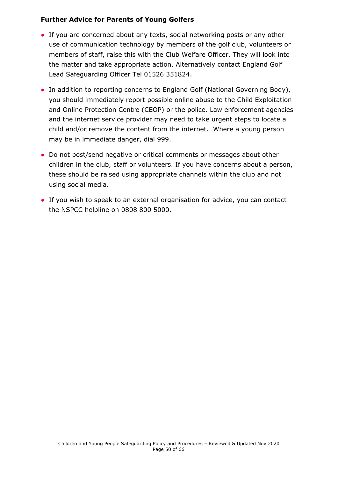#### **Further Advice for Parents of Young Golfers**

- If you are concerned about any texts, social networking posts or any other use of communication technology by members of the golf club, volunteers or members of staff, raise this with the Club Welfare Officer. They will look into the matter and take appropriate action. Alternatively contact England Golf Lead Safeguarding Officer Tel 01526 351824.
- In addition to reporting concerns to England Golf (National Governing Body), you should immediately report possible online abuse to the Child Exploitation and Online Protection Centre (CEOP) or the police. Law enforcement agencies and the internet service provider may need to take urgent steps to locate a child and/or remove the content from the internet. Where a young person may be in immediate danger, dial 999.
- Do not post/send negative or critical comments or messages about other children in the club, staff or volunteers. If you have concerns about a person, these should be raised using appropriate channels within the club and not using social media.
- <span id="page-49-0"></span>● If you wish to speak to an external organisation for advice, you can contact the NSPCC helpline on 0808 800 5000.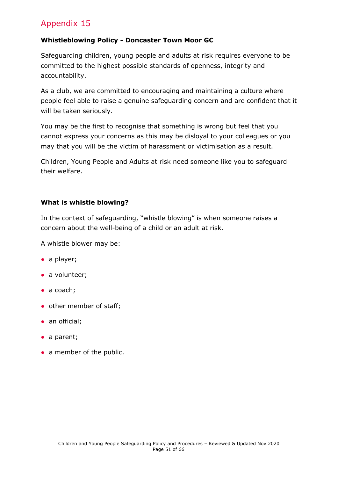#### **Whistleblowing Policy - Doncaster Town Moor GC**

Safeguarding children, young people and adults at risk requires everyone to be committed to the highest possible standards of openness, integrity and accountability.

As a club, we are committed to encouraging and maintaining a culture where people feel able to raise a genuine safeguarding concern and are confident that it will be taken seriously.

You may be the first to recognise that something is wrong but feel that you cannot express your concerns as this may be disloyal to your colleagues or you may that you will be the victim of harassment or victimisation as a result.

Children, Young People and Adults at risk need someone like you to safeguard their welfare.

#### **What is whistle blowing?**

In the context of safeguarding, "whistle blowing" is when someone raises a concern about the well-being of a child or an adult at risk.

A whistle blower may be:

- a player;
- a volunteer;
- $\bullet$  a coach;
- other member of staff;
- an official;
- a parent;
- a member of the public.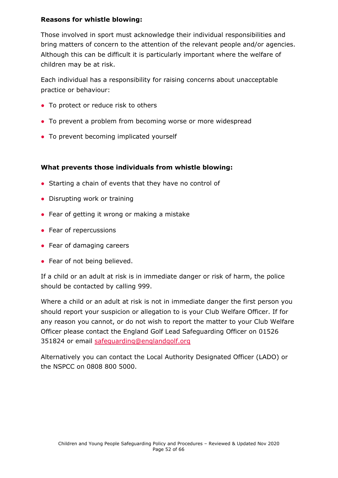#### **Reasons for whistle blowing:**

Those involved in sport must acknowledge their individual responsibilities and bring matters of concern to the attention of the relevant people and/or agencies. Although this can be difficult it is particularly important where the welfare of children may be at risk.

Each individual has a responsibility for raising concerns about unacceptable practice or behaviour:

- To protect or reduce risk to others
- To prevent a problem from becoming worse or more widespread
- To prevent becoming implicated yourself

#### **What prevents those individuals from whistle blowing:**

- Starting a chain of events that they have no control of
- Disrupting work or training
- Fear of getting it wrong or making a mistake
- Fear of repercussions
- Fear of damaging careers
- Fear of not being believed.

If a child or an adult at risk is in immediate danger or risk of harm, the police should be contacted by calling 999.

Where a child or an adult at risk is not in immediate danger the first person you should report your suspicion or allegation to is your Club Welfare Officer. If for any reason you cannot, or do not wish to report the matter to your Club Welfare Officer please contact the England Golf Lead Safeguarding Officer on 01526 351824 or email safequarding@englandgolf.org

Alternatively you can contact the Local Authority Designated Officer (LADO) or the NSPCC on 0808 800 5000.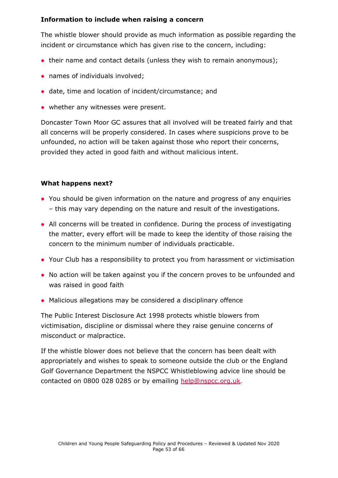#### **Information to include when raising a concern**

The whistle blower should provide as much information as possible regarding the incident or circumstance which has given rise to the concern, including:

- their name and contact details (unless they wish to remain anonymous);
- names of individuals involved;
- date, time and location of incident/circumstance; and
- whether any witnesses were present.

Doncaster Town Moor GC assures that all involved will be treated fairly and that all concerns will be properly considered. In cases where suspicions prove to be unfounded, no action will be taken against those who report their concerns, provided they acted in good faith and without malicious intent.

#### **What happens next?**

- You should be given information on the nature and progress of any enquiries – this may vary depending on the nature and result of the investigations.
- All concerns will be treated in confidence. During the process of investigating the matter, every effort will be made to keep the identity of those raising the concern to the minimum number of individuals practicable.
- Your Club has a responsibility to protect you from harassment or victimisation
- No action will be taken against you if the concern proves to be unfounded and was raised in good faith
- Malicious allegations may be considered a disciplinary offence

The Public Interest Disclosure Act 1998 protects whistle blowers from victimisation, discipline or dismissal where they raise genuine concerns of misconduct or malpractice.

<span id="page-52-0"></span>If the whistle blower does not believe that the concern has been dealt with appropriately and wishes to speak to someone outside the club or the England Golf Governance Department the NSPCC Whistleblowing advice line should be contacted on 0800 028 0285 or by emailing [help@nspcc.org.uk.](mailto:help@nspcc.org.uk)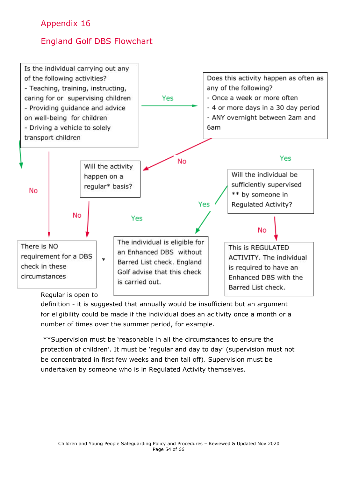## England Golf DBS Flowchart



definition - it is suggested that annually would be insufficient but an argument for eligibility could be made if the individual does an acitivity once a month or a number of times over the summer period, for example.

\*\*Supervision must be 'reasonable in all the circumstances to ensure the protection of children'. It must be 'regular and day to day' (supervision must not be concentrated in first few weeks and then tail off). Supervision must be undertaken by someone who is in Regulated Activity themselves.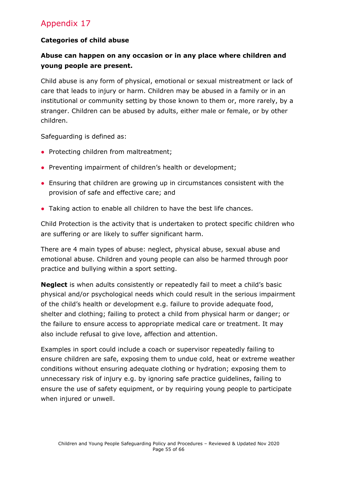#### **Categories of child abuse**

#### **Abuse can happen on any occasion or in any place where children and young people are present.**

Child abuse is any form of physical, emotional or sexual mistreatment or lack of care that leads to injury or harm. Children may be abused in a family or in an institutional or community setting by those known to them or, more rarely, by a stranger. Children can be abused by adults, either male or female, or by other children.

Safeguarding is defined as:

- Protecting children from maltreatment;
- Preventing impairment of children's health or development;
- Ensuring that children are growing up in circumstances consistent with the provision of safe and effective care; and
- Taking action to enable all children to have the best life chances.

Child Protection is the activity that is undertaken to protect specific children who are suffering or are likely to suffer significant harm.

There are 4 main types of abuse: neglect, physical abuse, sexual abuse and emotional abuse. Children and young people can also be harmed through poor practice and bullying within a sport setting.

**Neglect** is when adults consistently or repeatedly fail to meet a child's basic physical and/or psychological needs which could result in the serious impairment of the child's health or development e.g. failure to provide adequate food, shelter and clothing; failing to protect a child from physical harm or danger; or the failure to ensure access to appropriate medical care or treatment. It may also include refusal to give love, affection and attention.

Examples in sport could include a coach or supervisor repeatedly failing to ensure children are safe, exposing them to undue cold, heat or extreme weather conditions without ensuring adequate clothing or hydration; exposing them to unnecessary risk of injury e.g. by ignoring safe practice guidelines, failing to ensure the use of safety equipment, or by requiring young people to participate when injured or unwell.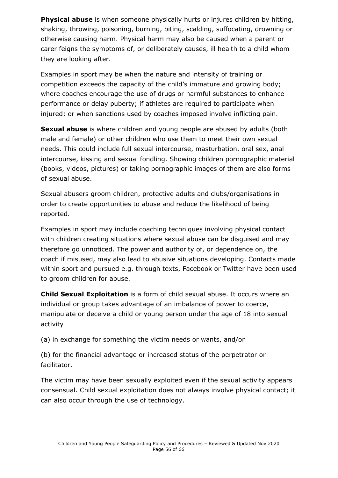**Physical abuse** is when someone physically hurts or injures children by hitting, shaking, throwing, poisoning, burning, biting, scalding, suffocating, drowning or otherwise causing harm. Physical harm may also be caused when a parent or carer feigns the symptoms of, or deliberately causes, ill health to a child whom they are looking after.

Examples in sport may be when the nature and intensity of training or competition exceeds the capacity of the child's immature and growing body; where coaches encourage the use of drugs or harmful substances to enhance performance or delay puberty; if athletes are required to participate when injured; or when sanctions used by coaches imposed involve inflicting pain.

**Sexual abuse** is where children and young people are abused by adults (both male and female) or other children who use them to meet their own sexual needs. This could include full sexual intercourse, masturbation, oral sex, anal intercourse, kissing and sexual fondling. Showing children pornographic material (books, videos, pictures) or taking pornographic images of them are also forms of sexual abuse.

Sexual abusers groom children, protective adults and clubs/organisations in order to create opportunities to abuse and reduce the likelihood of being reported.

Examples in sport may include coaching techniques involving physical contact with children creating situations where sexual abuse can be disguised and may therefore go unnoticed. The power and authority of, or dependence on, the coach if misused, may also lead to abusive situations developing. Contacts made within sport and pursued e.g. through texts, Facebook or Twitter have been used to groom children for abuse.

**Child Sexual Exploitation** is a form of child sexual abuse. It occurs where an individual or group takes advantage of an imbalance of power to coerce, manipulate or deceive a child or young person under the age of 18 into sexual activity

(a) in exchange for something the victim needs or wants, and/or

(b) for the financial advantage or increased status of the perpetrator or facilitator.

The victim may have been sexually exploited even if the sexual activity appears consensual. Child sexual exploitation does not always involve physical contact; it can also occur through the use of technology.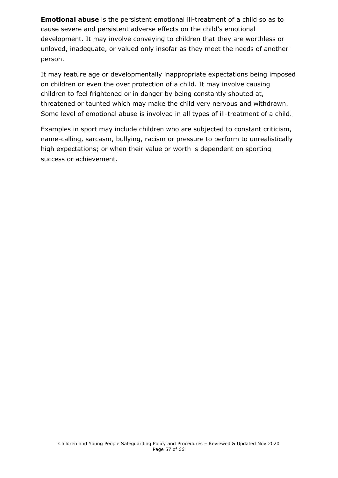**Emotional abuse** is the persistent emotional ill-treatment of a child so as to cause severe and persistent adverse effects on the child's emotional development. It may involve conveying to children that they are worthless or unloved, inadequate, or valued only insofar as they meet the needs of another person.

It may feature age or developmentally inappropriate expectations being imposed on children or even the over protection of a child. It may involve causing children to feel frightened or in danger by being constantly shouted at, threatened or taunted which may make the child very nervous and withdrawn. Some level of emotional abuse is involved in all types of ill-treatment of a child.

Examples in sport may include children who are subjected to constant criticism, name-calling, sarcasm, bullying, racism or pressure to perform to unrealistically high expectations; or when their value or worth is dependent on sporting success or achievement.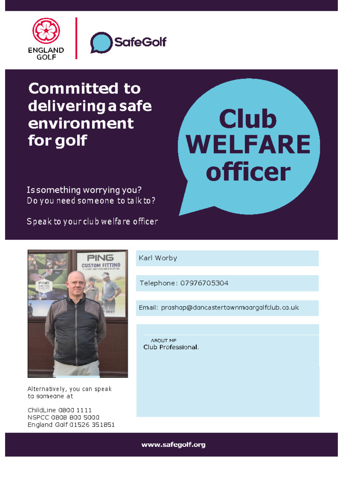

# **Committed to** delivering a safe environment for golf

# **Club WELFARE** officer

Is something worrying you? Do you need someone to talk to?

Speak to your club welfare officer



Alternatively, you can speak to someone at

ChildLine 0800 1111 NSPCC 0808 800 5000 England Golf 01526 351851 Karl Worby

Telephone: 07976705304

Email: proshop@doncastertownmoorgolfclub.co.uk

ABOUT ME Club Professional.

www.safenolf.org P a g e 5 8 o f 6 6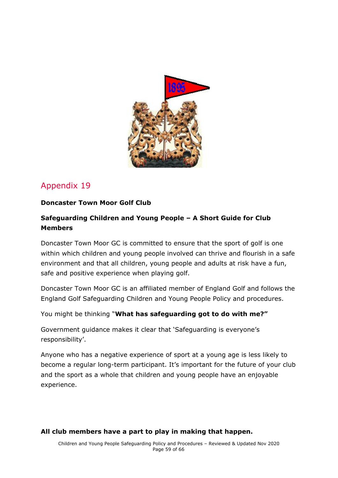<span id="page-58-0"></span>

#### <span id="page-58-1"></span>**Doncaster Town Moor Golf Club**

#### **Safeguarding Children and Young People – A Short Guide for Club Members**

Doncaster Town Moor GC is committed to ensure that the sport of golf is one within which children and young people involved can thrive and flourish in a safe environment and that all children, young people and adults at risk have a fun, safe and positive experience when playing golf.

Doncaster Town Moor GC is an affiliated member of England Golf and follows the England Golf Safeguarding Children and Young People Policy and procedures.

You might be thinking "**What has safeguarding got to do with me?"**

Government guidance makes it clear that 'Safeguarding is everyone's responsibility'.

Anyone who has a negative experience of sport at a young age is less likely to become a regular long-term participant. It's important for the future of your club and the sport as a whole that children and young people have an enjoyable experience.

#### **All club members have a part to play in making that happen.**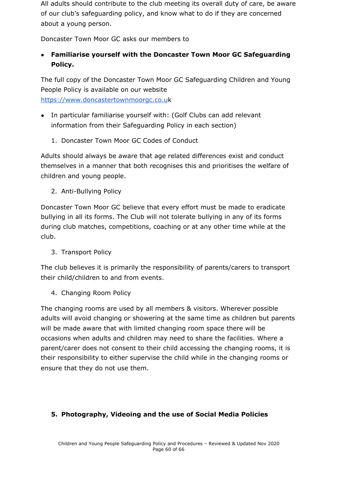All adults should contribute to the club meeting its overall duty of care, be aware of our club's safeguarding policy, and know what to do if they are concerned about a young person.

Doncaster Town Moor GC asks our members to

**● Familiarise yourself with the Doncaster Town Moor GC Safeguarding Policy.**

The full copy of the Doncaster Town Moor GC Safeguarding Children and Young People Policy is available on our website [https://www.doncastertownmoorgc.co.u](http://www.xxxxgc.com/)k

- In particular familiarise yourself with: (Golf Clubs can add relevant information from their Safeguarding Policy in each section)
	- 1. Doncaster Town Moor GC Codes of Conduct

Adults should always be aware that age related differences exist and conduct themselves in a manner that both recognises this and prioritises the welfare of children and young people.

2. Anti-Bullying Policy

Doncaster Town Moor GC believe that every effort must be made to eradicate bullying in all its forms. The Club will not tolerate bullying in any of its forms during club matches, competitions, coaching or at any other time while at the club.

3. Transport Policy

The club believes it is primarily the responsibility of parents/carers to transport their child/children to and from events.

4. Changing Room Policy

The changing rooms are used by all members & visitors. Wherever possible adults will avoid changing or showering at the same time as children but parents will be made aware that with limited changing room space there will be occasions when adults and children may need to share the facilities. Where a parent/carer does not consent to their child accessing the changing rooms, it is their responsibility to either supervise the child while in the changing rooms or ensure that they do not use them.

#### **5. Photography, Videoing and the use of Social Media Policies**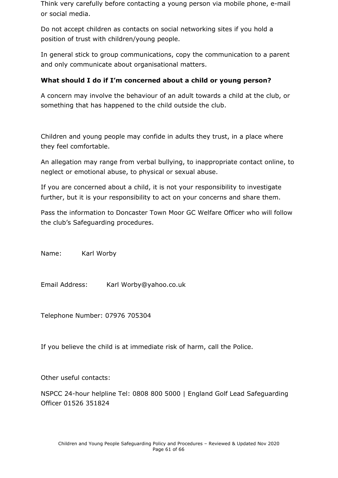Think very carefully before contacting a young person via mobile phone, e-mail or social media.

Do not accept children as contacts on social networking sites if you hold a position of trust with children/young people.

In general stick to group communications, copy the communication to a parent and only communicate about organisational matters.

#### **What should I do if I'm concerned about a child or young person?**

A concern may involve the behaviour of an adult towards a child at the club, or something that has happened to the child outside the club.

Children and young people may confide in adults they trust, in a place where they feel comfortable.

An allegation may range from verbal bullying, to inappropriate contact online, to neglect or emotional abuse, to physical or sexual abuse.

If you are concerned about a child, it is not your responsibility to investigate further, but it is your responsibility to act on your concerns and share them.

Pass the information to Doncaster Town Moor GC Welfare Officer who will follow the club's Safeguarding procedures.

Name: Karl Worby

Email Address: Karl Worby@yahoo.co.uk

Telephone Number: 07976 705304

If you believe the child is at immediate risk of harm, call the Police.

Other useful contacts:

NSPCC 24-hour helpline Tel: 0808 800 5000 | England Golf Lead Safeguarding Officer 01526 351824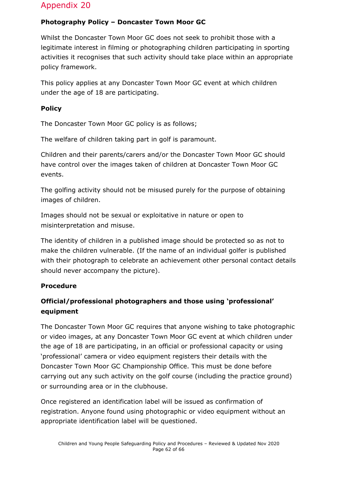#### <span id="page-61-0"></span>**Photography Policy – Doncaster Town Moor GC**

Whilst the Doncaster Town Moor GC does not seek to prohibit those with a legitimate interest in filming or photographing children participating in sporting activities it recognises that such activity should take place within an appropriate policy framework.

This policy applies at any Doncaster Town Moor GC event at which children under the age of 18 are participating.

#### **Policy**

The Doncaster Town Moor GC policy is as follows;

The welfare of children taking part in golf is paramount.

Children and their parents/carers and/or the Doncaster Town Moor GC should have control over the images taken of children at Doncaster Town Moor GC events.

The golfing activity should not be misused purely for the purpose of obtaining images of children.

Images should not be sexual or exploitative in nature or open to misinterpretation and misuse.

The identity of children in a published image should be protected so as not to make the children vulnerable. (If the name of an individual golfer is published with their photograph to celebrate an achievement other personal contact details should never accompany the picture).

#### **Procedure**

#### **Official/professional photographers and those using 'professional' equipment**

The Doncaster Town Moor GC requires that anyone wishing to take photographic or video images, at any Doncaster Town Moor GC event at which children under the age of 18 are participating, in an official or professional capacity or using 'professional' camera or video equipment registers their details with the Doncaster Town Moor GC Championship Office. This must be done before carrying out any such activity on the golf course (including the practice ground) or surrounding area or in the clubhouse.

Once registered an identification label will be issued as confirmation of registration. Anyone found using photographic or video equipment without an appropriate identification label will be questioned.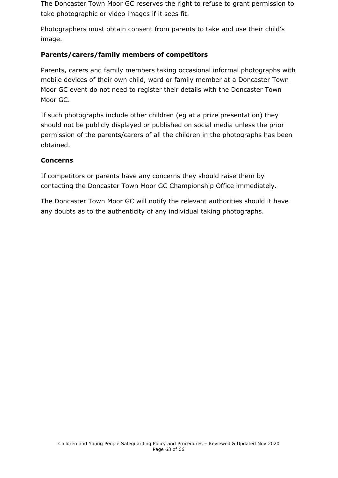The Doncaster Town Moor GC reserves the right to refuse to grant permission to take photographic or video images if it sees fit.

Photographers must obtain consent from parents to take and use their child's image.

#### **Parents/carers/family members of competitors**

Parents, carers and family members taking occasional informal photographs with mobile devices of their own child, ward or family member at a Doncaster Town Moor GC event do not need to register their details with the Doncaster Town Moor GC.

If such photographs include other children (eg at a prize presentation) they should not be publicly displayed or published on social media unless the prior permission of the parents/carers of all the children in the photographs has been obtained.

#### **Concerns**

If competitors or parents have any concerns they should raise them by contacting the Doncaster Town Moor GC Championship Office immediately.

<span id="page-62-0"></span>The Doncaster Town Moor GC will notify the relevant authorities should it have any doubts as to the authenticity of any individual taking photographs.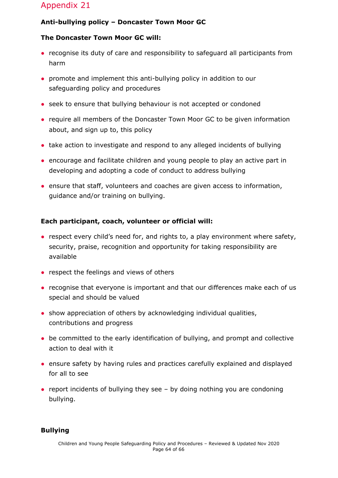#### **Anti-bullying policy – Doncaster Town Moor GC**

#### **The Doncaster Town Moor GC will:**

- recognise its duty of care and responsibility to safeguard all participants from harm
- promote and implement this anti-bullying policy in addition to our safeguarding policy and procedures
- seek to ensure that bullying behaviour is not accepted or condoned
- require all members of the Doncaster Town Moor GC to be given information about, and sign up to, this policy
- take action to investigate and respond to any alleged incidents of bullying
- encourage and facilitate children and young people to play an active part in developing and adopting a code of conduct to address bullying
- ensure that staff, volunteers and coaches are given access to information, guidance and/or training on bullying.

#### **Each participant, coach, volunteer or official will:**

- respect every child's need for, and rights to, a play environment where safety, security, praise, recognition and opportunity for taking responsibility are available
- respect the feelings and views of others
- recognise that everyone is important and that our differences make each of us special and should be valued
- show appreciation of others by acknowledging individual qualities, contributions and progress
- be committed to the early identification of bullying, and prompt and collective action to deal with it
- ensure safety by having rules and practices carefully explained and displayed for all to see
- report incidents of bullying they see  $-$  by doing nothing you are condoning bullying.

#### **Bullying**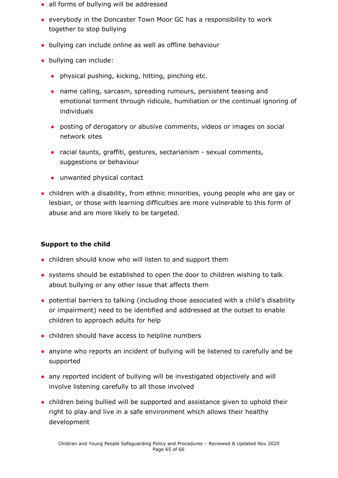- all forms of bullying will be addressed
- everybody in the Doncaster Town Moor GC has a responsibility to work together to stop bullying
- bullying can include online as well as offline behaviour
- bullying can include:
	- physical pushing, kicking, hitting, pinching etc.
	- name calling, sarcasm, spreading rumours, persistent teasing and emotional torment through ridicule, humiliation or the continual ignoring of individuals
	- posting of derogatory or abusive comments, videos or images on social network sites
	- racial taunts, graffiti, gestures, sectarianism sexual comments, suggestions or behaviour
	- unwanted physical contact
- children with a disability, from ethnic minorities, young people who are gay or lesbian, or those with learning difficulties are more vulnerable to this form of abuse and are more likely to be targeted.

#### **Support to the child**

- children should know who will listen to and support them
- systems should be established to open the door to children wishing to talk about bullying or any other issue that affects them
- potential barriers to talking (including those associated with a child's disability or impairment) need to be identified and addressed at the outset to enable children to approach adults for help
- children should have access to helpline numbers
- anyone who reports an incident of bullying will be listened to carefully and be supported
- any reported incident of bullying will be investigated objectively and will involve listening carefully to all those involved
- children being bullied will be supported and assistance given to uphold their right to play and live in a safe environment which allows their healthy development